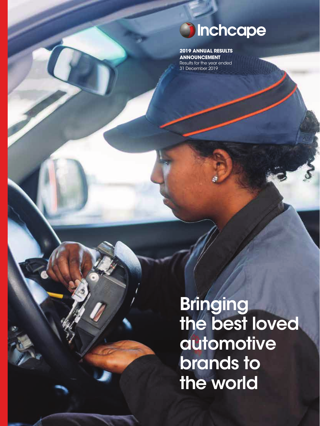# **Sinchcape**

**2019 ANNUAL RESULTS ANNOUNCEMENT** Results for the year ended 31 December 2019

**Bringing** the best loved automotive brands to the world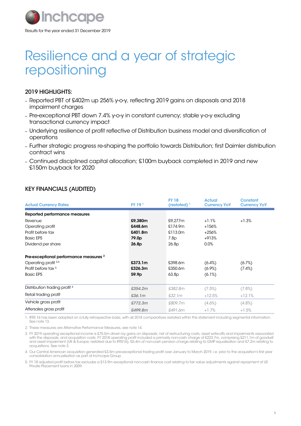

# Resilience and a year of strategic repositioning

### 2019 HIGHLIGHTS:

- Reported PBT of £402m up 256% y-o-y, reflecting 2019 gains on disposals and 2018 impairment charges
- Pre-exceptional PBT down 7.4% y-o-y in constant currency; stable y-o-y excluding transactional currency impact
- Underlying resilience of profit reflective of Distribution business model and diversification of operations
- Further strategic progress re-shaping the portfolio towards Distribution; first Daimler distribution contract wins
- Continued disciplined capital allocation; £100m buyback completed in 2019 and new £150m buyback for 2020

# KEY FINANCIALS (AUDITED)

| <b>Actual Currency Rates</b>                      | <b>FY 19</b> <sup>1</sup> | <b>FY 18</b><br>(restated) $1$ | <b>Actual</b><br><b>Currency YoY</b> | <b>Constant</b><br><b>Currency YoY</b> |
|---------------------------------------------------|---------------------------|--------------------------------|--------------------------------------|----------------------------------------|
|                                                   |                           |                                |                                      |                                        |
| Reported performance measures                     |                           |                                |                                      |                                        |
| Revenue                                           | £9,380m                   | £9,277m                        | $+1.1%$                              | $+1.3%$                                |
| Operating profit                                  | £448.6m                   | £174.9m                        | $+156%$                              |                                        |
| Profit before tax                                 | £401.8m                   | £113.0m                        | $+256%$                              |                                        |
| <b>Basic EPS</b>                                  | 79.0 <sub>p</sub>         | 7.8p                           | $+913%$                              |                                        |
| Dividend per share                                | 26.8p                     | 26.8p                          | 0.0%                                 |                                        |
| Pre-exceptional performance measures <sup>2</sup> |                           |                                |                                      |                                        |
| Operating profit 3,4                              | £373.1m                   | £398.6m                        | $(6.4\%)$                            | (6.7%)                                 |
| Profit before tax <sup>5</sup>                    | £326.3m                   | £350.6m                        | $(6.9\%)$                            | $(7.4\%)$                              |
| <b>Basic EPS</b>                                  | 59.9p                     | 63.8 <sub>D</sub>              | (6.1%)                               |                                        |
| Distribution trading profit <sup>4</sup>          | £354.2m                   | £382.8m                        | (7.5%)                               | $(7.8\%)$                              |
| Retail trading profit                             | £36.1m                    | £32.1m                         | $+12.5%$                             | $+12.1%$                               |
| Vehicle gross profit                              | £772.3m                   | £809.7m                        | $(4.6\%)$                            | $(4.8\%)$                              |
| Aftersales gross profit                           | £499.8m                   | £491.6m                        | $+1.7%$                              | $+1.5%$                                |

1. IFRS 16 has been adopted on a fully retrospective basis, with all 2018 comparatives restated within this statement including segmental information. See note 13.

2. These measures are Alternative Performance Measures, see note 14.

3. FY 2019 operating exceptional income is £75.5m driven by gains on disposals, net of restructuring costs, asset write-offs and impairments associated with the disposals, and acquisition costs. FY 2018 operating profit included a primarily non-cash charge of £223.7m, comprising £211.1m of goodwill<br>and asset impairment (UK & Europe; restated due to IFRS16), £5.4m of non-c acquisitions. See note 3.

4. Our Central American acquisition generated £3.5m pre-exceptional trading profit over January to March 2019, i.e. prior to the acquisition's first year consolidation annualisation as part of Inchcape Group.

5. FY 18 adjusted profit before tax excludes a £13.9m exceptional non-cash finance cost relating to fair value adjustments against repayment of US Private Placement loans in 2009.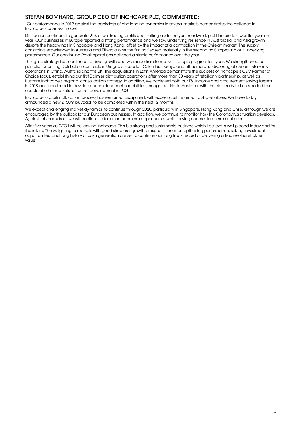# STEFAN BOMHARD, GROUP CEO OF INCHCAPE PLC, COMMENTED:

"Our performance in 2019 against the backdrop of challenging dynamics in several markets demonstrates the resilience in Inchcape's business model.

Distribution continues to generate 91% of our trading profits and, setting aside the yen headwind, profit before tax, was flat year on year. Our businesses in Europe reported a strong performance and we saw underlying resilience in Australasia, and Asia growth despite the headwinds in Singapore and Hong Kong, offset by the impact of a contraction in the Chilean market. The supply constraints experienced in Australia and Ethiopia over the first half eased materially in the second half, improving our underlying performance. Our continuing Retail operations delivered a stable performance over the year.

The Ignite strategy has continued to drive growth and we made transformative strategic progress last year. We strengthened our portfolio, acquiring Distribution contracts in Uruguay, Ecuador, Colombia, Kenya and Lithuania and disposing of certain retail-only operations in China, Australia and the UK. The acquisitions in Latin America demonstrate the success of Inchcape's OEM Partner of Choice focus, establishing our first Daimler distribution operations after more than 30 years of retail-only partnership, as well as illustrate Inchcape's regional consolidation strategy. In addition, we achieved both our F&I income and procurement saving targets in 2019 and continued to develop our omnichannel capabilities through our trial in Australia, with the trial ready to be exported to a couple of other markets for further development in 2020.

Inchcape's capital allocation process has remained disciplined, with excess cash returned to shareholders. We have today announced a new £150m buyback to be completed within the next 12 months.

We expect challenging market dynamics to continue through 2020, particularly in Singapore, Hong Kong and Chile, although we are encouraged by the outlook for our European businesses. In addition, we continue to monitor how the Coronavirus situation develops. Against this backdrop, we will continue to focus on near-term opportunities whilst driving our medium-term aspirations.

After five years as CEO I will be leaving Inchcape. This is a strong and sustainable business which I believe is well placed today and for the future. The weighting to markets with good structural growth prospects, focus on optimising performance, seizing investment opportunities, and long history of cash generation are set to continue our long track record of delivering attractive shareholder value."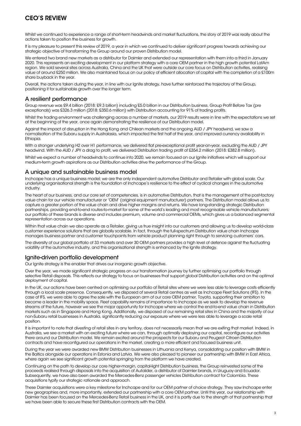# CEO'S REVIEW

Whilst we continued to experience a range of short-term headwinds and market fluctuations, the story of 2019 was really about the actions taken to position the business for growth.

It is my pleasure to present this review of 2019, a year in which we continued to deliver significant progress towards achieving our strategic objective of transforming the Group around our proven Distribution model.

We entered two brand new markets as a distributor for Daimler and extended our representation with them into a third in January 2020. This represents an exciting development in our platform strategy with a core OEM partner in the high growth potential LatAm region. We sold several sites across Australia, China and the UK that were outside our core focus on Distribution activities, realising value of around £250 million. We also maintained focus on our policy of efficient allocation of capital with the completion of a £100m share buyback in the year.

Overall, the actions taken during the year, in line with our Ignite strategy, have further reinforced the trajectory of the Group, positioning it for sustainable growth over the longer term.

### A resilient performance

Group revenue was £9.4 billion (2018: £9.3 billion) including £5.0 billion in our Distribution business. Group Profit Before Tax (pre exceptionals) was £326.3 million (2018: £350.6 million) with Distribution accounting for 91% of trading profits.

Whilst the trading environment was challenging across a number of markets, our 2019 results were in line with the expectations we set at the beginning of the year, once again demonstrating the resilience of our Distribution model.

Against the impact of disruption in the Hong Kong and Chilean markets and the ongoing AUD / JPY headwind, we saw a normalisation of the Subaru supply in Australasia, which impacted the first half of the year, and improved currency availability in **Ethiopia.** 

With a stronger underlying H2 over H1 performance, we delivered flat pre-exceptional profit year-on-year, excluding the AUD / JPY headwind. With the AUD / JPY a drag to profit, we delivered Distribution trading profit of £354.2 million (2018: £382.8 million).

Whilst we expect a number of headwinds to continue into 2020, we remain focused on our Ignite initiatives which will support our medium-term growth aspirations as our Distribution activities drive the performance of the Group.

### A unique and sustainable business model

Inchcape has a unique business model; we are the only independent automotive Distributor and Retailer with global scale. Our underlying organisational strength is the foundation of Inchcape's resilience to the effect of cyclical changes in the automotive industry.

The heart of our business, and our core set of competencies, is in automotive Distribution, that is the management of the post-factory value chain for our vehicle manufacturer or 'OEM' (original equipment manufacturer) partners. The Distribution model allows us to capture a greater portion of the value chain and drive higher margins and returns. We have long-standing strategic Distribution partnerships, providing end-to-end routes-to-market for some of the world's leading and most recognisable vehicle manufacturers; our portfolio of these brands is diverse and includes premium, volume and commercial OEMs, which gives us a balanced segmental representation across our operations.

Within that value chain we also operate as a Retailer, giving us true insight into our customers and allowing us to develop world-class customer experience solutions that are globally scalable. In fact, through the full-spectrum Distribution value chain Inchcape manages business partner and customer touchpoints from vehicle product planning right through to servicing customers' cars.

The diversity of our global portfolio of 33 markets and over 30 OEM partners provides a high level of defence against the fluctuating volatility of the automotive industry, and this organisational strength is enhanced by the Ignite strategy.

### Ignite-driven portfolio development

Our Ignite strategy is the enabler that drives our inorganic growth objective.

Over the year, we made significant strategic progress on our transformation journey by further optimising our portfolio through selective Retail disposals. This reflects our strategy to focus on businesses that support global Distribution activities and on the optimal deployment of capital.

In the UK, our actions have been centred on optimising our portfolio of Retail sites where we were less able to leverage costs efficiently through a local scale presence. Consequently, we disposed of several Retail centres as well as Inchcape Fleet Solutions (IFS). In the case of IFS, we were able to agree the sale with the European arm of our core OEM partner, Toyota, supporting their ambition to become a leader in the mobility space. Fleet capability remains of importance to Inchcape as we seek to develop the revenue streams of the future, however we see the major opportunity for Inchcape where we control the end-to-end value chain in Distribution markets such as in Singapore and Hong Kong. Additionally, we disposed of our remaining retail sites in China and the majority of our non-Subaru retail businesses in Australia, significantly reducing our exposure where we were less able to leverage a scale retail position.

It is important to note that divesting of retail sites in any territory, does not necessarily mean that we are exiting that market. Indeed, in Australia, we see a market with an exciting future where we can, through optimally deploying our capital, reconfigure our activities there around our Distribution model. We remain excited around the prospects for our Subaru and Peugeot Citroen Distribution contracts and have reconfigured our operations in the market, creating a more efficient and focused business unit.

During the year we were awarded new BMW Distribution businesses in Lithuania and Kenya, consolidating our position with BMW in the Baltics alongside our operations in Estonia and Latvia. We were also pleased to pioneer our partnership with BMW in East Africa, where again we see significant growth potential springing from the platform we have created.

Continuing on the path to develop our core higher-margin, capital-light Distribution business, the Group reinvested some of the proceeds realised through disposals into the acquisition of Autolider, a distributor of Daimler brands, in Uruguay and Ecuador. Subsequently, we have also been awarded the Mercedes-Benz passenger vehicles Distribution contract for Colombia. These acquisitions typify our strategic rationale and approach.

These Daimler acquisitions were a key milestone for Inchcape and for our OEM partner of choice strategy. They saw Inchcape enter new geographies and, more importantly, extended our partnership with a core OEM partner. Until this year, our relationship with Daimler has been focused on the Mercedes-Benz Retail business in the UK, and it is partly due to the strength of that partnership that we have been able to secure these first Distribution contracts with the OEM.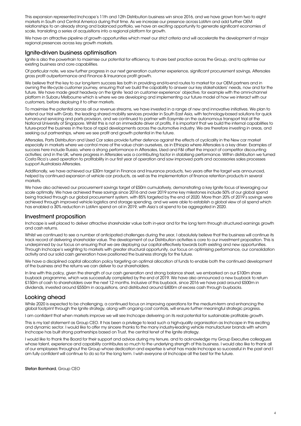This expansion represented Inchcape's 11th and 12th Distribution business win since 2016, and we have grown from two to eight markets in South and Central America during that time. As we increase our presence across LatAm and add further OEM relationships to an already strong and balanced portfolio, we have an exciting opportunity to generate significant economies of scale, translating a series of acquisitions into a regional platform for growth.

We have an attractive pipeline of growth opportunities which meet our strict criteria and will accelerate the development of major regional presences across key growth markets.

#### Ignite-driven business optimisation

Ignite is also the powertrain to maximise our potential for efficiency, to share best practice across the Group, and to optimise our existing business and core capabilities.

Of particular note, we saw further progress in our next generation customer experience, significant procurement savings, Aftersales gross profit outperformance and Finance & Insurance profit growth.

We believe that the key to our long-term success lies both in providing end-to-end routes to market for our OEM partners and in owning the life-cycle customer journey, ensuring that we build the capability to answer our key stakeholders' needs, now and for the future. We have made great headway on the Ignite 'lead on customer experience' objective, for example with the omni-channel platform in Subaru Melbourne which is where we are developing and implementing our future model of how we interact with our customers, before deploying it to other markets.

To maximise the potential across all our revenue streams, we have invested in a range of new and innovative initiatives. We plan to extend our trial with Grab, the leading shared mobility services provider in South East Asia, with technology-based solutions for quick turnaround servicing and parts provision, and we continued to partner with Easymile on the autonomous transport trial at the National University of Singapore. Whilst this is not an immediate driver of profits, it is important that we build the internal capabilities to future-proof the business in the face of rapid developments across the automotive industry. We are therefore investing in areas, and seeking out partnerships, where we see profit and growth potential in the future.

Aftersales, Parts Distribution and Used Car sales provide further defence against the effects of cyclicality in the New car market especially in markets where we control more of the value chain ourselves, as in Ethiopia where Aftersales is a key driver. Examples of success here include Russia, where a strong performance in Aftersales, Used and F&I offset the impact of competitor discounting activities; and in the UK, where progress in Aftersales was a contributing factor in stabilising performance. Within distribution we turned Costa Rica's used operation to profitability in our first year of operation and saw improved parts and accessories sales processes support Australasia Aftersales.

Additionally, we have achieved our £30m target in Finance and Insurance products, two years after the target was announced, helped by continued expansion of vehicle car products, as well as the implementation of finance retention products in several markets.

We have also achieved our procurement savinas target of £50m cumulatively, demonstrating a key Ignite focus of leveraging our scale optimally. We have achieved these savings since 2016 and over 2019 some key milestones include 50% of our global spend being tracked through our global procurement system, with 85% targeted by the end of 2020. More than 20% of 2019's savings were achieved through improved vehicle logistics and storage spending, and we were able to establish a global view of oil spend which has enabled a 30% reduction in LatAm spend on oil in 2019, with Asia's oil spend to be aggregated in 2020.

#### Investment proposition

Inchcape is well placed to deliver attractive shareholder value both in-year and for the long term through structured earnings growth and cash returns.

Whilst we continued to see a number of anticipated challenges during the year, I absolutely believe that the business will continue its track record of delivering shareholder value. The development of our Distribution activities is core to our investment proposition. This is underpinned by our focus on ensuring that we are deploying our capital effectively towards both existing and new opportunities. Through Inchcape's weighting to markets with greater structural opportunity, our focus on optimising performance, our consolidation activity and our solid cash generation have positioned the business strongly for the future.

We have a disciplined capital allocation policy targeting an optimal allocation of funds to enable both the continued development of the business and the returns we can deliver to our shareholders.

In line with this policy, given the strength of our cash generation and strong balance sheet, we embarked on our £100m share buyback programme, which was successfully completed by the end of 2019. We have also announced a new buyback to return £150m of cash to shareholders over the next 12 months. Inclusive of this buyback, since 2016 we have paid around £500m in dividends, invested around £550m in acquisitions, and distributed around £400m of excess cash through buybacks.

### Looking ahead

While 2020 is expected to be challenging, a continued focus on improving operations for the medium-term and enhancing the global footprint through the Ignite strategy, along with ongoing cost controls, will ensure further meaningful strategic progress.

I am confident that when markets improve we will see Inchcape delivering on its real potential for sustainable profitable growth.

This is my last statement as Group CEO. It has been a privilege to lead such a high-quality organisation as Inchcape in this exciting and dynamic sector. I would like to offer my sincere thanks to the many industry-leading vehicle manufacturer brands with whom Inchcape has built strong partnerships based on Trust, the central tenet of the Ignite strategy.

I would like to thank the Board for their support and advice during my tenure, and to acknowledge my Group Executive colleagues whose talent, experience and capability contributes so much to the underlying strength of this business. I would also like to thank all of our employees throughout the Group whose dedication and expertise is what has made Inchcape so successful in the past and I am fully confident will continue to do so for the long term. I wish everyone at Inchcape all the best for the future.

Stefan Bomhard, Group CEO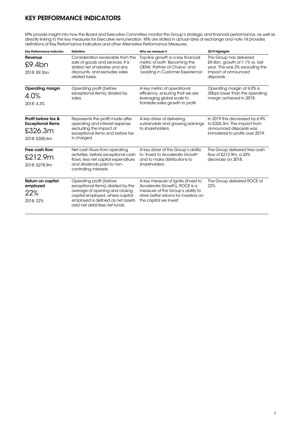# KEY PERFORMANCE INDICATORS

KPIs provide insight into how the Board and Executive Committee monitor the Group's strategic and financial performance, as well as directly linking to the key measures for Executive remuneration. KPIs are stated in actual rates of exchange and note 14 provides definitions of Key Performance Indicators and other Alternative Performance Measures.

| Key Performance Indicator                                                   | <b>Definition</b>                                                                                                                                                                                       | Why we measure it                                                                                                                                                           | 2019 Highlights                                                                                                                    |
|-----------------------------------------------------------------------------|---------------------------------------------------------------------------------------------------------------------------------------------------------------------------------------------------------|-----------------------------------------------------------------------------------------------------------------------------------------------------------------------------|------------------------------------------------------------------------------------------------------------------------------------|
| Revenue<br>$£9.4$ bn<br>2018: £9.3bn                                        | Consideration receivable from the<br>sale of goods and services. It is<br>stated net of rebates and any<br>discounts, and excludes sales<br>related taxes.                                              | Top-line growth is a key financial<br>metric of both 'Becoming the<br>OEMs' Partner of Choice' and<br>'Leading in Customer Experience'.                                     | The Group has delivered<br>£9.4bn, growth of 1.1% vs. last<br>year. This was 3% excluding the<br>impact of announced<br>disposals. |
| <b>Operating margin</b><br>4.0%<br>2018: 4.3%                               | Operating profit (before<br>exceptional items) divided by<br>sales.                                                                                                                                     | A key metric of operational<br>efficiency, ensuring that we are<br>leveraging global scale to<br>translate sales growth to profit.                                          | Operating margin at 4.0% is<br>30bps lower than the operating<br>margin achieved in 2018.                                          |
| Profit before tax &<br><b>Exceptional Items</b><br>£326.3m<br>2018: £350.6m | Represents the profit made after<br>operating and interest expense<br>excluding the impact of<br>exceptional items and before tax<br>is charged.                                                        | A key driver of delivering<br>sustainable and growing earnings<br>to shareholders.                                                                                          | In 2019 this decreased by 6.9%<br>to £326.3m. The impact from<br>announced disposals was<br>immaterial to profits over 2019.       |
| Free cash flow<br>£212.9m<br>2018: £278.9m                                  | Net cash flows from operating<br>activities, before exceptional cash<br>flows, less net capital expenditure<br>and dividends paid to non-<br>controlling interests.                                     | A key driver of the Group's ability<br>to 'Invest to Accelerate Growth'<br>and to make distributions to<br>shareholders.                                                    | The Group delivered free cash<br>flow of £212.9m, a 24%<br>decrease on 2018.                                                       |
| Return on capital<br>employed<br>22%<br>2018: 22%                           | Operating profit (before<br>exceptional items) divided by the<br>average of opening and closing<br>capital employed, where capital<br>employed is defined as net assets<br>add net debt/less net funds. | A key measure of Ignite (Invest to<br>Accelerate Growth), ROCE is a<br>measure of the Group's ability to<br>drive better returns for investors on<br>the capital we invest. | The Group delivered ROCE of<br>$22%$ .                                                                                             |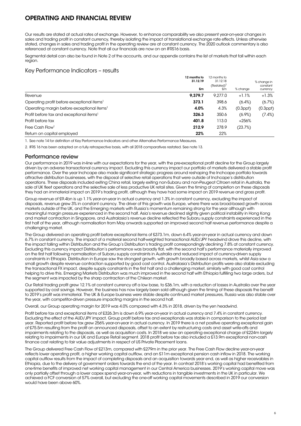# OPERATING AND FINANCIAL REVIEW

Our results are stated at actual rates of exchange. However, to enhance comparability we also present year-on-year changes in sales and trading profit in constant currency, thereby isolating the impact of translational exchange rate effects. Unless otherwise stated, changes in sales and trading profit in the operating review are at constant currency. The 2020 outlook commentary is also referenced at constant currency. Note that all our financials are now on an IFRS16 basis.

Segmental detail can also be found in Note 2 of the accounts, and our appendix contains the list of markets that fall within each region.

### Key Performance Indicators – results

|                                                        | 12 months to<br>31.12.19<br>£m | 12 months to<br>31.12.18<br>$(Restated)^2$<br>£m | % change       | % change in<br>constant<br>currency |
|--------------------------------------------------------|--------------------------------|--------------------------------------------------|----------------|-------------------------------------|
| Revenue                                                | 9.379.7                        | 9.277.0                                          | $+1.1%$        | $+1.3%$                             |
| Operating profit before exceptional items <sup>1</sup> | 373.1                          | 398.6                                            | $(6.4\%)$      | (6.7%)                              |
| Operating margin before exceptional items <sup>1</sup> | 4.0%                           | 4.3%                                             | $(0.3$ ppt $)$ | $(0.3$ ppt $)$                      |
| Profit before tax and exceptional items <sup>1</sup>   | 326.3                          | 350.6                                            | $(6.9\%)$      | $(7.4\%)$                           |
| Profit before tax                                      | 401.8                          | 113.0                                            | $+256%$        |                                     |
| Free Cash Flow <sup>1</sup>                            | 212.9                          | 278.9                                            | (23.7%)        |                                     |
| Return on capital employed                             | 22%                            | 22%                                              |                |                                     |

1. See note 14 for definition of Key Performance Indicators and other Alternative Performance Measures.

2. IFRS 16 has been adopted on a fully retrospective basis, with all 2018 comparatives restated. See note 13.

### Performance review

Our performance in 2019 was in-line with our expectations for the year, with the pre-exceptional profit decline for the Group largely driven by an adverse transactional currency impact. Excluding this currency impact our portfolio of markets delivered a stable profit performance. Over the year Inchcape also made significant strategic progress around reshaping the Inchcape portfolio towards attractive distribution businesses, with the disposal of selective retail operations that were outside of Inchcape's distribution operations. These disposals included exiting China retail, largely exiting non-Subaru and non-Peugeot Citroen retail in Australia, the sale of UK fleet operations and the selective sale of less productive UK retail sites. Given the timing of completion on these disposals they had an immaterial impact on 2019's trading profit, although they have had some impact on 2019 revenue and gross profit.

Group revenue of £9.4bn is up 1.1% year-on-year in actual currency and 1.3% in constant currency, excluding the impact of disposals, revenue grew 3% in constant currency. The driver of this growth was Europe, where there was broad-based growth across markets outside of the UK, and the Emerging markets with Russia's momentum remaining strong for the year although with meaningful margin pressure experienced in the second half. Asia's revenue declined slightly given political instability in Hong Kong and market contraction in Singapore, and Australasia's revenue decline reflected the Subaru supply constraints experienced in the first half of the year, although normalisation from May onwards supported an improved second half revenue performance despite a challenging market.

The Group delivered an operating profit before exceptional items of £373.1m, down 6.4% year-on-year in actual currency and down 6.7% in constant currency. The impact of a material second half-weighted transactional AUD/JPY headwind drove this decline, with the impact falling within Distribution and the Group's Distribution's trading profit correspondingly declining 7.8% at constant currency. Excluding this currency impact Distribution's performance was broadly flat, with the second half's performance materially improved on the first half following normalisation of Subaru supply constraints in Australia and reduced impact of currency-driven supply constraints in Ethiopia. Distribution in Europe saw the strongest growth, with growth broadly based across markets, whilst Asia saw a small growth despite revenue contraction supported by good cost control. Australasia's Distribution profits were also stable excluding the transactional FX impact, despite supply constraints in the first half and a challenging market, similarly with good cost control helping to drive this. Emerging Markets Distribution was much improved in the second half with Ethiopia fulfilling two large orders, but the segment was impacted by the sharp contraction of the Chilean market.

Our Retail trading profit grew 12.1% at constant currency off a low base, to £36.1m, with a reduction of losses in Australia over the year supported by cost savings. However, the business has now largely been sold although given the timing of these disposals the benefit to 2019's profit was immaterial. The UK & Europe business were stable despite continued market pressures, Russia was also stable over the year, with competitor-driven pressure impacting margins in the second half.

Overall, our Group operating margin for 2019 was 4.0% compared with 4.3% in 2018, driven by the yen headwind.

Profit before tax and exceptional items of £326.3m is down 6.9% year-on-year in actual currency and 7.4% in constant currency. Excluding the effect of the AUD/JPY impact, Group profit before tax and exceptionals was stable in comparison to the period last year. Reported profit before tax grew 256% year-on-year in actual currency. In 2019 there is a net positive operating exceptional gain of £75.5m resulting from the profit on announced disposals, offset to an extent by restructuring costs and asset write-offs and impairments relating to the disposals, as well as acquisition costs. In 2018 we saw an operating exceptional charge of £224m largely relating to impairments in our UK and Europe Retail segment. 2018 profit before tax also included a £13.9m exceptional non-cash finance cost relating to fair value adjustments in respect of US Private Placement loans.

The Group delivered Free Cash Flow of £213m, compared with £279m in the prior year. The Free Cash Flow decline year-on-year reflects lower operating profit, a higher working capital outflow, and an £11m exceptional pension cash inflow in 2018. The working capital outflow results from the impact of completing disposals and an acquisition towards year end, as well as higher receivables in Ethiopia, due to the delivery of government orders towards the end of the year. In contrast 2018's working capital had benefited from one-time benefits of improved net working capital management in our Central America businesses. 2019's working capital move was only partially offset through a lower capex spend year-on-year, with reductions in tangible investments in the UK in particular. We achieved a FCF conversion of 57% overall, but excluding the one-off working capital movements described in 2019 our conversion would have been above 60%.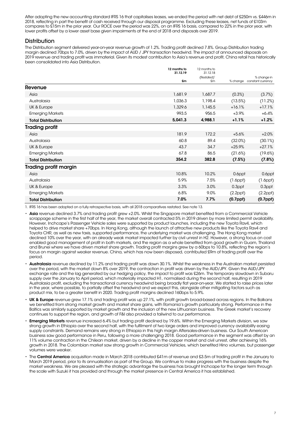After adopting the new accounting standard IFRS 16 that capitalises leases, we ended the period with net debt of £250m vs. £446m in 2018, reflecting in part the benefit of cash received through our disposal programme. Excluding these leases, net funds of £103m compares to £15m in the prior year. Our ROCE over the period was 22%, on an IFRS 16 basis, compared to 22% in the prior year, with lower profits offset by a lower asset base given impairments at the end of 2018 and disposals over 2019.

### **Distribution**

The Distribution segment delivered year-on-year revenue growth of 1.2%. Trading profit declined 7.8%. Group Distribution trading margin declined 70bps to 7.0%, driven by the impact of AUD / JPY transaction headwind. The impact of announced disposals on 2019 revenue and trading profit was immaterial. Given its modest contribution to Asia's revenue and profit, China retail has historically been consolidated into Asia Distribution.

|                              | 12 months to<br>31.12.19 | 12 months to<br>31.12.18 |                |                   |
|------------------------------|--------------------------|--------------------------|----------------|-------------------|
|                              |                          | (Restated) <sup>1</sup>  |                | % change in       |
|                              | £m                       | £m                       | % change       | constant currency |
| Revenue                      |                          |                          |                |                   |
| Asia                         | 1,681.9                  | 1,687.7                  | (0.3%)         | (3.7%)            |
| Australasia                  | 1,036.3                  | 1,198.4                  | (13.5%)        | (11.2%)           |
| UK & Europe                  | 1,329.6                  | 1,145.5                  | $+16.1%$       | $+17.1%$          |
| <b>Emerging Markets</b>      | 993.5                    | 956.5                    | $+3.9%$        | $+6.4%$           |
| <b>Total Distribution</b>    | 5,041.3                  | 4,988.1                  | $+1.1%$        | $+1.2%$           |
| <b>Trading profit</b>        |                          |                          |                |                   |
| Asia                         | 181.9                    | 172.2                    | $+5.6%$        | $+2.0%$           |
| Australasia                  | 60.8                     | 89.4                     | (32.0%)        | (30.1%)           |
| UK & Europe                  | 43.7                     | 34.7                     | $+25.9%$       | $+27.1%$          |
| <b>Emerging Markets</b>      | 67.8                     | 86.5                     | (21.6%)        | (19.6%)           |
| <b>Total Distribution</b>    | 354.2                    | 382.8                    | (7.5%)         | (7.8%)            |
| <b>Trading profit margin</b> |                          |                          |                |                   |
| Asia                         | 10.8%                    | 10.2%                    | 0.6ppt         | 0.6ppt            |
| Australasia                  | 5.9%                     | 7.5%                     | $(1.6$ ppt $)$ | $(1.6$ ppt $)$    |
| UK & Europe                  | 3.3%                     | 3.0%                     | 0.3ppt         | 0.3ppt            |
| <b>Emerging Markets</b>      | 6.8%                     | 9.0%                     | $(2.2$ ppt $)$ | $(2.2$ ppt $)$    |
| <b>Total Distribution</b>    | 7.0%                     | 7.7%                     | $(0.7$ ppt $)$ | $(0.7$ ppł $)$    |

1. IFRS 16 has been adopted on a fully retrospective basis, with all 2018 comparatives restated. See note 13.

- Asia revenue declined 3.7% and trading profit grew +2.0%. Whilst the Singapore market benefited from a Commercial Vehicle scrappage scheme in the first half of the year, the market overall contracted 5% in 2019 driven by more limited permit availability. However, Inchcape's Passenger Vehicle sales were supported by product launches, including the new Toyota Rav4, which helped to drive market share +70bps. In Hong Kong, although the launch of attractive new products like the Toyota Rav4 and Toyota CHR, as well as new taxis, supported performance, the underlying market was challenging. The Hong Kong market declined 10% over the year, with an already weak market impacted further by civil unrest in H2. However, a strong focus on cost enabled good management of profit in both markets, and the region as a whole benefited from good growth in Guam, Thailand and Brunei where we have driven market share growth. Trading profit margins grew by a 60bps to 10.8%, reflecting the region's focus on margin against weaker revenue. China, which has now been disposed, contributed £9m of trading profit over the period.
- Australasia revenue declined by 11.2% and trading profit was down 30.1%. Whilst the weakness in the Australian market persisted over the period, with the market down 8% over 2019, the contraction in profit was driven by the AUD/JPY. Given the AUD/JPY exchange rate and the lag generated by our hedging policy, the impact to profit was £26m. The temporary slowdown in Subaru supply over the January to April period, which materially impacted H1, normalised during the second half, resulting in 2019 Australasia profit, excluding the transactional currency headwind being broadly flat year-on-year. We started to raise prices later in the year, where possible, to partially offset the headwind and we expect this, alongside other mitigating factors such as product mix, to be a greater benefit in 2020. Trading profit margins declined 160bps to 5.9%.
- UK & Europe revenue grew 17.1% and trading profit was up 27.1%, with profit growth broad-based across regions. In the Balkans we benefited from strong market growth and market share gains, with Romania's growth particularly strong. Performance in the Baltics was similarly supported by market growth and the inclusion of the new Lithuanian business. The Greek market's recovery continues to support the region, and growth of F&I also provided a tailwind to our performance.
- **Emerging Markets** revenue increased 6.4% but trading profit declined by 19.6%. Within the Emerging Markets division, we saw strong growth in Ethiopia over the second half, with the fulfilment of two large orders and improved currency availability easing supply constraints. Demand remains very strong in Ethiopia in this high margin Aftersales-driven business. Our South American business saw good performance in Peru, following a more challenging 2018. Good performance in the segment was offset by an 11% volume contraction in the Chilean market, driven by a decline in the copper market and civil unrest, after achieving 16% growth in 2018. The Colombian market saw strong growth in Commercial Vehicles, which benefited Hino volumes, but passenger volumes were weaker.
- The Central America acquisition made in March 2018 contributed £41m of revenue and £3.5m of trading profit in the January to March 2019 period, prior to its annualisation as part of the Group. We continue to make progress with the business despite the market weakness. We are pleased with the strategic advantage the business has brought Inchcape for the longer term through the scale with Suzuki it has provided and through the market presence in Central America it has established.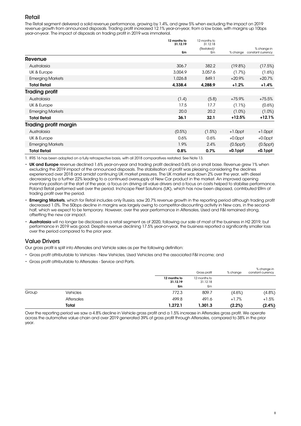# Retail

The Retail segment delivered a solid revenue performance, growing by 1.4%, and grew 5% when excluding the impact on 2019 revenue growth from announced disposals. Trading profit increased 12.1% year-on-year, from a low base, with margins up 10bps year-on-year. The impact of disposals on trading profit in 2019 was immaterial.

|                              | 12 months to<br>31.12.19 | 12 months to<br>31.12.18      |                | % change in<br>constant currency |
|------------------------------|--------------------------|-------------------------------|----------------|----------------------------------|
|                              | £m                       | (Restated) <sup>1</sup><br>£m | % change       |                                  |
| Revenue                      |                          |                               |                |                                  |
| Australasia                  | 306.7                    | 382.2                         | (19.8%)        | (17.5%)                          |
| UK & Europe                  | 3,004.9                  | 3,057.6                       | (1.7%)         | (1.6%)                           |
| <b>Emerging Markets</b>      | 1,026.8                  | 849.1                         | $+20.9%$       | $+20.7%$                         |
| <b>Total Retail</b>          | 4,338.4                  | 4,288.9                       | $+1.2%$        | $+1.4%$                          |
| <b>Trading profit</b>        |                          |                               |                |                                  |
| Australasia                  | (1.4)                    | (5.8)                         | $+75.9%$       | $+75.5%$                         |
| UK & Europe                  | 17.5                     | 17.7                          | (1.1%)         | (0.6%)                           |
| <b>Emerging Markets</b>      | 20.0                     | 20.2                          | $(1.0\%)$      | (1.0%)                           |
| <b>Total Retail</b>          | 36.1                     | 32.1                          | $+12.5%$       | $+12.1%$                         |
| <b>Trading profit margin</b> |                          |                               |                |                                  |
| Australasia                  | (0.5%)                   | (1.5%)                        | $+1.0$ ppt     | $+1.0$ ppt                       |
| UK & Europe                  | 0.6%                     | 0.6%                          | $+0.0$ ppt     | $+0.0$ ppt                       |
| <b>Emerging Markets</b>      | 1.9%                     | 2.4%                          | $(0.5$ ppt $)$ | $(0.5$ ppt $)$                   |
| <b>Total Retail</b>          | 0.8%                     | 0.7%                          | $+0.1$ ppt     | $+0.1$ ppt                       |

1. IFRS 16 has been adopted on a fully retrospective basis, with all 2018 comparatives restated. See Note 13.

• UK and Europe revenue declined 1.6% year-on-year and trading profit declined 0.6% on a small base. Revenue grew 1% when excluding the 2019 impact of the announced disposals. The stabilisation of profit was pleasing considering the declines experienced over 2018 and amidst continuing UK market pressures. The UK market was down 2% over the year, with diesel decreasing by a further 22% leading to a continued oversupply of New Car product in the market. An improved opening inventory position at the start of the year, a focus on driving all value drivers and a focus on costs helped to stabilise performance. Poland Retail performed well over the period. Inchcape Fleet Solutions (UK), which has now been disposed, contributed £9m of trading profit over the period.

- Emerging Markets, which for Retail includes only Russia, saw 20.7% revenue growth in the reporting period although trading profit decreased 1.0%. The 50bps decline in margins was largely owing to competitor-discounting activity in New cars, in the secondhalf, which we expect to be temporary. However, over the year performance in Aftersales, Used and F&I remained strong, offsetting the new car impact.
- Australasia will no longer be disclosed as a retail seament as of 2020, following our sale of most of the business in H2 2019, but performance in 2019 was good. Despite revenue declining 17.5% year-on-year, the business reported a significantly smaller loss over the period compared to the prior year.

### Value Drivers

Our gross profit is split into Aftersales and Vehicle sales as per the following definition:

- Gross profit attributable to Vehicles New Vehicles, Used Vehicles and the associated F&I income; and
- Gross profit attributable to Aftersales Service and Parts.

|       |                   |                          | Gross profit             | % change | % change in<br>constant currency |  |
|-------|-------------------|--------------------------|--------------------------|----------|----------------------------------|--|
|       |                   | 12 months to<br>31.12.19 | 12 months to<br>31.12.18 |          |                                  |  |
|       |                   | £m                       | £m                       |          |                                  |  |
| Group | <b>Vehicles</b>   | 772.3                    | 809.7                    | (4.6%)   | (4.8%)                           |  |
|       | <b>Aftersales</b> | 499.8                    | 491.6                    | $+1.7%$  | $+1.5%$                          |  |
|       | Total             | 1,272.1                  | 1,301.3                  | (2.2%)   | (2.4%)                           |  |

Over the reporting period we saw a 4.8% decline in Vehicle gross profit and a 1.5% increase in Aftersales gross profit. We operate across the automotive value chain and over 2019 generated 39% of gross profit through Aftersales, compared to 38% in the prior year.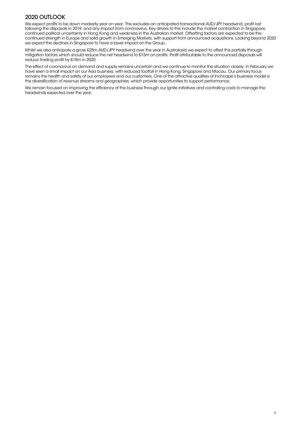# 2020 OUTLOOK

We expect profits to be down modestly year on year. This excludes an anticipated transactional AUD/JPY headwind, profit lost following the disposals in 2019, and any impact from coronavirus. Key drivers to this include the market contraction in Singapore, continued political uncertainty in Hong Kong and weakness in the Australian market. Offsetting factors are expected to be the continued strength in Europe and solid growth in Emerging Markets, with support from announced acquisitions. Looking beyond 2020 we expect the declines in Singapore to have a lower impact on the Group.

Whilst we also anticipate a gross £25m AUD/JPY headwind over the year in Australasia we expect to offset this partially through mitigation factors which should reduce the net headwind to £15m on profits. Profit attributable to the announced disposals will reduce trading profit by £18m in 2020.

The effect of coronavirus on demand and supply remains uncertain and we continue to monitor the situation closely. In February we have seen a small impact on our Asia business, with reduced footfall in Hong Kong, Singapore and Macau. Our primary focus remains the health and safety of our employees and our customers. One of the attractive qualities of Inchcape's business model is the diversification of revenue streams and geographies, which provide opportunities to support performance.

We remain focused on improving the efficiency of the business through our Ignite initiatives and controlling costs to manage the headwinds expected over the year.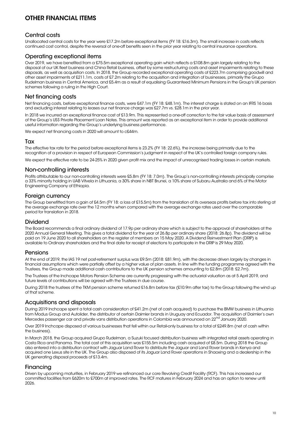# OTHER FINANCIAL ITEMS

### Central costs

Unallocated central costs for the year were £17.2m before exceptional items (FY 18: £16.3m). The small increase in costs reflects continued cost control, despite the reversal of one-off benefits seen in the prior year relating to central insurance operations.

### Operating exceptional items

Over 2019, we have benefited from a £75.5m exceptional operating gain which reflects a £108.8m gain largely relating to the disposal of our UK fleet business and China Retail business, offset by some restructuring costs and asset impairments relating to these disposals, as well as acquisition costs. In 2018, the Group recorded exceptional operating costs of £223.7m comprising goodwill and other asset impairments of £211.1m, costs of £7.2m relating to the acquisition and integration of businesses, primarily the Grupo Rudelman business in Central America, and £5.4m as a result of equalising Guaranteed Minimum Pensions in the Group's UK pension schemes following a ruling in the High Court.

### Net financing costs

Net financing costs, before exceptional finance costs, were £47.1m (FY 18: £48.1m). The interest charge is stated on an IFRS 16 basis and excluding interest relating to leases our net finance charge was £27.7m vs. £28.1m in the prior year.

In 2018 we incurred an exceptional finance cost of £13.9m. This represented a one-off correction to the fair value basis of assessment of the Group's US\$ Private Placement Loan Notes. This amount was reported as an exceptional item in order to provide additional useful information regarding the Group's underlying business performance.

We expect net financing costs in 2020 will amount to c£44m.

### **Tax**

The effective tax rate for the period before exceptional items is 23.2% (FY 18: 22.6%), the increase being primarily due to the recognition of a provision in respect of European Commission's judgment in respect of the UK's controlled foreign company rules.

We expect the effective rate to be 24-25% in 2020 given profit mix and the impact of unrecognised trading losses in certain markets.

### Non-controlling interests

Profits attributable to our non-controlling interests were £5.8m (FY 18: 7.0m). The Group's non-controlling interests principally comprise a 33% minority holding in UAB Vitvela in Lithuania, a 30% share in NBT Brunei, a 10% share of Subaru Australia and 6% of the Motor Engineering Company of Ethiopia.

### Foreign currency

The Group benefitted from a gain of £4.5m (FY 18: a loss of £15.5m) from the translation of its overseas profits before tax into sterling at the average exchange rate over the 12 months when compared with the average exchange rates used over the comparable period for translation in 2018.

### Dividend

The Board recommends a final ordinary dividend of 17.9p per ordinary share which is subject to the approval of shareholders at the 2020 Annual General Meeting. This gives a total dividend for the year of 26.8p per ordinary share (2018: 26.8p). The dividend will be paid on 19 June 2020 to all shareholders on the register of members on 15 May 2020. A Dividend Reinvestment Plan (DRIP) is available to Ordinary shareholders and the final date for receipt of elections to participate in the DRIP is 29 May 2020.

### Pensions

At the end of 2019, the IAS 19 net post-retirement surplus was £9.5m (2018: £81.9m), with the decrease driven largely by changes in financial assumptions which were partially offset by a higher value of plan assets. In line with the funding programme agreed with the Trustees, the Group made additional cash contributions to the UK pension schemes amounting to £2.8m (2018: £2.7m).

The Trustees of the Inchcape Motors Pension Scheme are currently progressing with the actuarial valuation as at 5 April 2019, and future levels of contributions will be agreed with the Trustees in due course.

During 2018 the trustees of the TKM pension scheme returned £16.8m before tax (£10.9m after tax) to the Group following the wind up of that scheme.

### Acquisitions and disposals

During 2019 Inchcape spent a total cash consideration of £41.2m (net of cash acquired) to purchase the BMW business in Lithuania from Modus Group and Autolider, the distributor of certain Daimler brands in Uruguay and Ecuador. The acquisition of Daimler's own Mercedes passenger car and private vans distribution operations in Colombia was announced on 22<sup>nd</sup> January 2020.

Over 2019 Inchcape disposed of various businesses that fell within our Retail-only business for a total of £249.8m (net of cash within the business).

In March 2018, the Group acquired Grupo Rudelman, a Suzuki focused distribution business with integrated retail assets operating in Costa Rica and Panama. The total cost of this acquisition was £155.5m including cash acquired of £8.5m. During 2018 the Group also entered into a distribution contract with Jaguar Land Rover to distribute the Jaguar and Land Rover brands in Kenya and acquired one Lexus site in the UK. The Group also disposed of its Jaguar Land Rover operations in Shaoxing and a dealership in the UK generating disposal proceeds of £13.4m.

### **Financing**

Driven by upcoming maturities, in February 2019 we refinanced our core Revolving Credit Facility (RCF). This has increased our committed facilities from £620m to £700m at improved rates. The RCF matures in February 2024 and has an option to renew until 2026.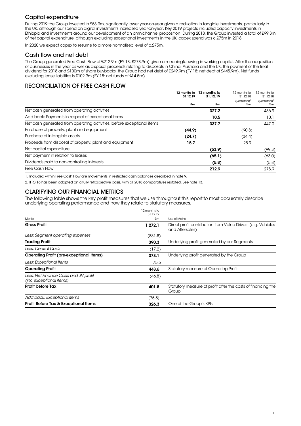# Capital expenditure

During 2019 the Group invested in £53.9m, significantly lower year-on-year given a reduction in tangible investments, particularly in the UK, although our spend on digital investments increased year-on-year. Key 2019 projects included capacity investments in Ethiopia and investments around our development of an omnichannel proposition. During 2018, the Group invested a total of £99.3m of net capital expenditure, although excluding exceptional investments in the UK, capex spend was c.£75m in 2018.

In 2020 we expect capex to resume to a more normalised level of c.£75m.

### Cash flow and net debt

The Group generated Free Cash Flow of £212.9m (FY 18: £278.9m) given a meaningful swing in working capital. After the acquisition of businesses in the year as well as disposal proceeds relating to disposals in China, Australia and the UK, the payment of the final dividend for 2018 and £100m of share buybacks, the Group had net debt of £249.9m (FY 18: net debt of £445.9m). Net funds excluding lease liabilities is £102.9m (FY 18: net funds of £14.5m).

# RECONCILIATION OF FREE CASH FLOW

|                                                                        | 12 months to<br>31.12.19 | 12 months to<br>31.12.19 | 12 months to<br>31.12.18      | 12 months to<br>31.12.18      |
|------------------------------------------------------------------------|--------------------------|--------------------------|-------------------------------|-------------------------------|
|                                                                        | £m                       | £m                       | (Restated) <sup>1</sup><br>£m | (Restated) <sup>1</sup><br>£m |
| Net cash generated from operating activities                           |                          | 327.2                    |                               | 436.9                         |
| Add back: Payments in respect of exceptional items                     |                          | 10.5                     |                               | 10.1                          |
| Net cash generated from operating activities, before exceptional items |                          | 337.7                    |                               | 447.0                         |
| Purchase of property, plant and equipment                              | (90.8)<br>(44.9)         |                          |                               |                               |
| Purchase of intangible assets                                          | (24.7)                   |                          | (34.4)                        |                               |
| Proceeds from disposal of property, plant and equipment                | 25.9<br>15.7             |                          |                               |                               |
| Net capital expenditure                                                |                          | (53.9)                   |                               | (99.3)                        |
| Net payment in relation to leases                                      | (65.1)                   |                          | (63.0)                        |                               |
| Dividends paid to non-controlling interests                            |                          | (5.8)                    |                               | (5.8)                         |
| <b>Free Cash Flow</b>                                                  |                          | 212.9                    |                               | 278.9                         |

1. Included within Free Cash Flow are movements in restricted cash balances described in note 9.

2. IFRS 16 has been adopted on a fully retrospective basis, with all 2018 comparatives restated. See note 13.

### CLARIFYING OUR FINANCIAL METRICS

The following table shows the key profit measures that we use throughout this report to most accurately describe underlying operating performance and how they relate to statutory measures.

|                                                                  | 12 months to<br>31.12.19 |                                                                                 |
|------------------------------------------------------------------|--------------------------|---------------------------------------------------------------------------------|
| Metric                                                           | £m                       | Use of Metric                                                                   |
| <b>Gross Profit</b>                                              | 1.272.1                  | Direct profit contribution from Value Drivers (e.g. Vehicles<br>and Aftersales) |
| Less: Segment operating expenses                                 | (881.8)                  |                                                                                 |
| <b>Trading Profit</b>                                            | 390.3                    | Underlying profit generated by our Segments                                     |
| Less: Central Costs                                              | (17.2)                   |                                                                                 |
| <b>Operating Profit (pre-exceptional Items)</b>                  | 373.1                    | Underlying profit generated by the Group                                        |
| Less: Exceptional Items                                          | 75.5                     |                                                                                 |
| <b>Operating Profit</b>                                          | 448.6                    | <b>Statutory measure of Operating Profit</b>                                    |
| Less: Net Finance Costs and JV profit<br>(inc exceptional items) | (46.8)                   |                                                                                 |
| <b>Profit before Tax</b>                                         | 401.8                    | Statutory measure of profit after the costs of financing the<br>Group           |
| Add back: Exceptional Items                                      | (75.5)                   |                                                                                 |
| <b>Profit Before Tax &amp; Exceptional Items</b>                 | 326.3                    | One of the Group's KPIs                                                         |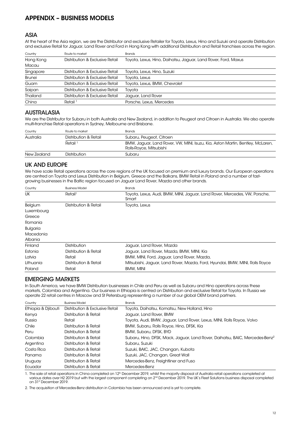# APPENDIX – BUSINESS MODELS

### ASIA

At the heart of the Asia region, we are the Distributor and exclusive Retailer for Toyota, Lexus, Hino and Suzuki and operate Distribution and exclusive Retail for Jaguar, Land Rover and Ford in Hong Kong with additional Distribution and Retail franchises across the region.

| Country       | Route to market                 | <b>Brands</b>                                                  |
|---------------|---------------------------------|----------------------------------------------------------------|
| Hong Kong     | Distribution & Exclusive Retail | Toyota, Lexus, Hino, Daihatsu, Jaguar, Land Rover, Ford, Maxus |
| Macau         |                                 |                                                                |
| Singapore     | Distribution & Exclusive Retail | Toyota, Lexus, Hino, Suzuki                                    |
| <b>Brunei</b> | Distribution & Exclusive Retail | Toyota, Lexus                                                  |
| Guam          | Distribution & Exclusive Retail | Toyota, Lexus, BMW, Chevrolet                                  |
| Saipan        | Distribution & Exclusive Retail | Tovota                                                         |
| Thailand      | Distribution & Exclusive Retail | Jaquar, Land Rover                                             |
| China         | Retail <sup>1</sup>             | Porsche, Lexus, Mercedes                                       |

### AUSTRALASIA

We are the Distributor for Subaru in both Australia and New Zealand, in addition to Peugeot and Citroen in Australia. We also operate multi-franchise Retail operations in Sydney, Melbourne and Brisbane.

| Country     | Route to market       | <b>Brands</b>                                                                                             |
|-------------|-----------------------|-----------------------------------------------------------------------------------------------------------|
| Australia   | Distribution & Retail | Subaru, Peugeot, Citroen                                                                                  |
|             | Retail <sup>1</sup>   | BMW, Jaguar, Land Rover, VW, MINI, Isuzu, Kia, Aston Martin, Bentley, McLaren,<br>Rolls-Royce, Mitsubishi |
| New Zealand | Distribution          | Subaru                                                                                                    |

### UK AND EUROPE

We have scale Retail operations across the core regions of the UK focused on premium and luxury brands. Our European operations are centred on Toyota and Lexus Distribution in Belgium, Greece and the Balkans, BMW Retail in Poland and a number of fastgrowing businesses in the Baltic region focused on Jaguar Land Rover, Mazda and other brands.

| Country         | <b>Business Model</b> | <b>Brands</b>                                                                       |
|-----------------|-----------------------|-------------------------------------------------------------------------------------|
| <b>UK</b>       | Retail                | Toyota, Lexus, Audi, BMW, MINI, Jaguar, Land Rover, Mercedes, VW, Porsche,<br>Smart |
| Belgium         | Distribution & Retail | Toyota, Lexus                                                                       |
| Luxembourg      |                       |                                                                                     |
| Greece          |                       |                                                                                     |
| Romania         |                       |                                                                                     |
| <b>Bulgaria</b> |                       |                                                                                     |
| Macedonia       |                       |                                                                                     |
| Albania         |                       |                                                                                     |
| Finland         | <b>Distribution</b>   | Jaquar, Land Rover, Mazda                                                           |
| Estonia         | Distribution & Retail | Jaguar, Land Rover, Mazda, BMW, MINI, Kia                                           |
| Latvia          | Retail                | BMW, MINI, Ford, Jaguar, Land Rover, Mazda,                                         |
| Lithuania       | Distribution & Retail | Mitsubishi, Jaguar, Land Rover, Mazda, Ford, Hyundai, BMW, MINI, Rolls Royce        |
| Poland          | Retail                | <b>BMW, MINI</b>                                                                    |

# EMERGING MARKETS

In South America, we have BMW Distribution businesses in Chile and Peru as well as Subaru and Hino operations across these markets, Colombia and Argentina. Our business in Ethiopia is centred on Distribution and exclusive Retail for Toyota. In Russia we operate 22 retail centres in Moscow and St Petersburg representing a number of our global OEM brand partners.

| Country             | <b>Business Model</b>           | <b>Brands</b>                                                                            |
|---------------------|---------------------------------|------------------------------------------------------------------------------------------|
| Ethiopia & Djibouti | Distribution & Exclusive Retail | Toyota, Daihatsu, Komatsu, New Holland, Hino                                             |
| Kenya               | Distribution & Retail           | Jaquar, Land Rover, BMW                                                                  |
| Russia              | Retail                          | Toyota, Audi, BMW, Jaguar, Land Rover, Lexus, MINI, Rolls Royce, Volvo                   |
| Chile               | Distribution & Retail           | BMW, Subaru, Rolls Royce, Hino, DFSK, Kia                                                |
| Peru                | Distribution & Retail           | BMW, Subaru, DFSK, BYD                                                                   |
| Colombia            | Distribution & Retail           | Subaru, Hino, DFSK, Mack, Jaguar, Land Rover, Daihatsu, BAIC, Mercedes-Benz <sup>2</sup> |
| Argentina           | Distribution & Retail           | Subaru, Suzuki                                                                           |
| Costa Rica          | Distribution & Retail           | Suzuki, BAIC, JAC, Changan, Kubota                                                       |
| Panama              | Distribution & Retail           | Suzuki, JAC, Changan, Great Wall                                                         |
| Uruguay             | Distribution & Retail           | Mercedes-Benz, Freightliner and Fuso                                                     |
| Ecuador             | Distribution & Retail           | Mercedes-Benz                                                                            |

1. The sale of retail operations in China completed on 12<sup>th</sup> December 2019, whilst the majority disposal of Australia retail operations completed at various dates over H2 2019 but with the largest component completing on 2<sup>nd</sup> December 2019. The UK's Fleet Solutions business disposal completed on 31st December 2019.

2. The acquisition of Mercedes-Benz distribution in Colombia has been announced and is yet to complete.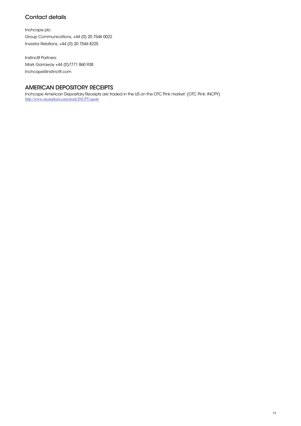# Contact details

Inchcape plc: Group Communications, +44 (0) 20 7546 0022 Investor Relations, +44 (0) 20 7546 8225

Instinctif Partners: Mark Garraway +44 (0)7771 860 938 Inchcape@instinctif.com

# AMERICAN DEPOSITORY RECEIPTS

Inchcape American Depositary Receipts are traded in the US on the OTC Pink market: (OTC Pink: INCPY) http://www.otcmarkets.com/stock/INCPY/quote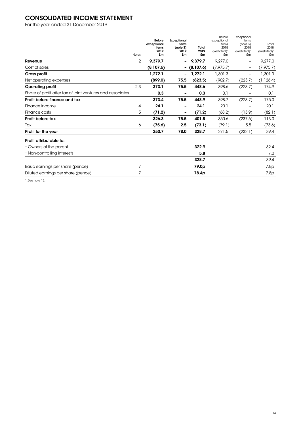# CONSOLIDATED INCOME STATEMENT

For the year ended 31 December 2019

|                                                            | <b>Notes</b> | <b>Before</b><br>exceptional<br>items<br>2019<br>£m | Exceptional<br>items<br>(note 3)<br>2019<br>£m | Total<br>2019<br>£m | Before<br>exceptional<br>items<br>2018<br>(Restated) <sup>1</sup><br>£m | Exceptional<br>items<br>(note 3)<br>2018<br>(Restated) <sup>1</sup><br>£m | Total<br>2018<br>$(Restated)^1$<br>£m |
|------------------------------------------------------------|--------------|-----------------------------------------------------|------------------------------------------------|---------------------|-------------------------------------------------------------------------|---------------------------------------------------------------------------|---------------------------------------|
| Revenue                                                    | 2            | 9,379.7                                             |                                                | 9,379.7             | 9,277.0                                                                 | -                                                                         | 9,277.0                               |
| Cost of sales                                              |              | (8,107.6)                                           |                                                | (8,107.6)           | (7, 975.7)                                                              |                                                                           | (7, 975.7)                            |
| Gross profit                                               |              | 1,272.1                                             |                                                | 1,272.1             | 1,301.3                                                                 | -                                                                         | 1,301.3                               |
| Net operating expenses                                     |              | (899.0)                                             | 75.5                                           | (823.5)             | (902.7)                                                                 | (223.7)                                                                   | (1, 126.4)                            |
| <b>Operating profit</b>                                    | 2,3          | 373.1                                               | 75.5                                           | 448.6               | 398.6                                                                   | (223.7)                                                                   | 174.9                                 |
| Share of profit after tax of joint ventures and associates |              | 0.3                                                 |                                                | 0.3                 | 0.1                                                                     |                                                                           | 0.1                                   |
| Profit before finance and tax                              |              | 373.4                                               | 75.5                                           | 448.9               | 398.7                                                                   | (223.7)                                                                   | 175.0                                 |
| Finance income                                             | 4            | 24.1                                                |                                                | 24.1                | 20.1                                                                    |                                                                           | 20.1                                  |
| Finance costs                                              | 5            | (71.2)                                              |                                                | (71.2)              | (68.2)                                                                  | (13.9)                                                                    | (82.1)                                |
| Profit before tax                                          |              | 326.3                                               | 75.5                                           | 401.8               | 350.6                                                                   | (237.6)                                                                   | 113.0                                 |
| Tax                                                        | 6            | (75.6)                                              | $2.5\,$                                        | (73.1)              | (79.1)                                                                  | 5.5                                                                       | (73.6)                                |
| Profit for the year                                        |              | 250.7                                               | 78.0                                           | 328.7               | 271.5                                                                   | (232.1)                                                                   | 39.4                                  |
| Profit attributable to:                                    |              |                                                     |                                                |                     |                                                                         |                                                                           |                                       |
| • Owners of the parent                                     |              |                                                     |                                                | 322.9               |                                                                         |                                                                           | 32.4                                  |
| • Non-controlling interests                                |              |                                                     |                                                | 5.8                 |                                                                         |                                                                           | 7.0                                   |
|                                                            |              |                                                     |                                                | 328.7               |                                                                         |                                                                           | 39.4                                  |
| Basic earnings per share (pence)                           | 7            |                                                     |                                                | 79.0 <sub>p</sub>   |                                                                         |                                                                           | 7.8p                                  |
| Diluted earnings per share (pence)                         | 7            |                                                     |                                                | 78.4p               |                                                                         |                                                                           | 7.8p                                  |

1. See note 13.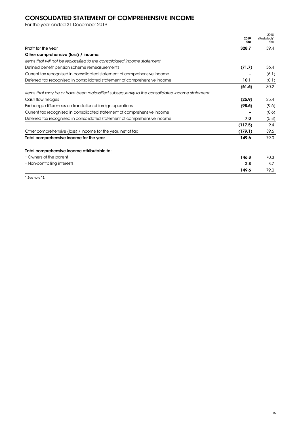# CONSOLIDATED STATEMENT OF COMPREHENSIVE INCOME

For the year ended 31 December 2019

|                                                                                               | 2019        | 2018<br>(Restated) <sup>1</sup> |
|-----------------------------------------------------------------------------------------------|-------------|---------------------------------|
| Profit for the year                                                                           | £m<br>328.7 | £m<br>39.4                      |
| Other comprehensive (loss) / income:                                                          |             |                                 |
| Items that will not be reclassified to the consolidated income statement                      |             |                                 |
| Defined benefit pension scheme remeasurements                                                 | (71.7)      | 36.4                            |
| Current tax recognised in consolidated statement of comprehensive income                      |             | (6.1)                           |
| Deferred tax recognised in consolidated statement of comprehensive income                     | 10.1        | (0.1)                           |
|                                                                                               | (61.6)      | 30.2                            |
| Items that may be or have been reclassified subsequently to the consolidated income statement |             |                                 |
| Cash flow hedges                                                                              | (25.9)      | 25.4                            |
| Exchange differences on translation of foreign operations                                     | (98.6)      | (9.6)                           |
| Current tax recognised in consolidated statement of comprehensive income                      |             | (0.6)                           |
| Deferred tax recognised in consolidated statement of comprehensive income                     | 7.0         | (5.8)                           |
|                                                                                               | (117.5)     | 9.4                             |
| Other comprehensive (loss) / income for the year, net of tax                                  | (179.1)     | 39.6                            |
| Total comprehensive income for the year                                                       | 149.6       | 79.0                            |
| Total comprehensive income attributable to:                                                   |             |                                 |
| • Owners of the parent                                                                        | 146.8       | 70.3                            |
| • Non-controlling interests                                                                   | 2.8         | 8.7                             |
|                                                                                               | 149.6       | 79.0                            |

1. See note 13.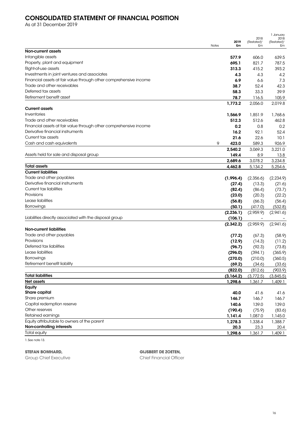# CONSOLIDATED STATEMENT OF FINANCIAL POSITION

As at 31 December 2019

|                                                                   |              |            |                                 | 1 January                       |  |
|-------------------------------------------------------------------|--------------|------------|---------------------------------|---------------------------------|--|
|                                                                   |              | 2019       | 2018<br>(Restated) <sup>1</sup> | 2018<br>(Restated) <sup>1</sup> |  |
|                                                                   | <b>Notes</b> | £m         | £m                              | £m                              |  |
| Non-current assets                                                |              |            |                                 |                                 |  |
| Intangible assets                                                 |              | 577.9      | 606.0                           | 639.5                           |  |
| Property, plant and equipment                                     |              | 695.1      | 821.7                           | 787.5                           |  |
| Right-of-use assets                                               |              | 313.3      | 415.2                           | 393.2                           |  |
| Investments in joint ventures and associates                      |              | 4.3        | 4.3                             | 4.2                             |  |
| Financial assets at fair value through other comprehensive income |              | 6.9        | 6.6                             | 7.3                             |  |
| Trade and other receivables                                       |              | 38.7       | 52.4                            | 42.3                            |  |
| Deferred tax assets                                               |              | 58.3       | 33.3                            | 39.9                            |  |
| Retirement benefit asset                                          |              | 78.7       | 116.5                           | 105.9                           |  |
|                                                                   |              | 1,773.2    | 2,056.0                         | 2,019.8                         |  |
| <b>Current assets</b>                                             |              |            |                                 |                                 |  |
| Inventories                                                       |              | 1,566.9    | 1,851.9                         | 1,768.6                         |  |
| Trade and other receivables                                       |              | 512.3      | 512.6                           | 462.8                           |  |
| Financial assets at fair value through other comprehensive income |              | 0.2        | 0.8                             | 0.2                             |  |
| Derivative financial instruments                                  |              | 16.2       | 92.1                            | 52.4                            |  |
| Current tax assets                                                |              | 21.6       | 22.6                            | 10.1                            |  |
| Cash and cash equivalents                                         | 9            | 423.0      | 589.3                           | 926.9                           |  |
|                                                                   |              | 2,540.2    | 3,069.3                         | 3,221.0                         |  |
| Assets held for sale and disposal group                           |              | 149.4      | 8.9                             |                                 |  |
|                                                                   |              |            |                                 | 13.8                            |  |
|                                                                   |              | 2,689.6    | 3,078.2                         | 3,234.8                         |  |
| <b>Total assets</b>                                               |              | 4,462.8    | 5,134.2                         | 5,254.6                         |  |
| <b>Current liabilities</b>                                        |              |            |                                 |                                 |  |
| Trade and other payables                                          |              | (1,996.4)  | (2,356.6)                       | (2,234.9)                       |  |
| Derivative financial instruments                                  |              | (27.4)     | (13.3)                          | (21.6)                          |  |
| Current tax liabilities                                           |              | (82.4)     | (86.4)                          | (73.7)                          |  |
| Provisions                                                        |              | (23.0)     | (20.3)                          | (22.2)                          |  |
| Lease liabilities                                                 |              | (56.8)     | (66.3)                          | (56.4)                          |  |
| Borrowings                                                        |              | (50.1)     | (417.0)                         | (532.8)                         |  |
|                                                                   |              | (2, 236.1) | (2,959.9)                       | (2,941.6)                       |  |
| Liabilities directly associated with the disposal group           |              | (106.1)    |                                 |                                 |  |
|                                                                   |              | (2,342.2)  | (2,959.9)                       | (2,941.6)                       |  |
| <b>Non-current liabilities</b>                                    |              |            |                                 |                                 |  |
| Trade and other payables                                          |              | (77.2)     | (67.3)                          | (58.9)                          |  |
| Provisions                                                        |              | (12.9)     | (14.3)                          | (11.2)                          |  |
| Deferred tax liabilities                                          |              | (96.7)     | (92.3)                          | (73.8)                          |  |
| Lease liabilities                                                 |              | (296.0)    | (394.1)                         | (365.9)                         |  |
| <b>Borrowings</b>                                                 |              | (270.0)    | (210.0)                         | (360.5)                         |  |
| Retirement benefit liability                                      |              | (69.2)     | (34.6)                          | (33.6)                          |  |
|                                                                   |              | (822.0)    | (812.6)                         | (903.9)                         |  |
| <b>Total liabilities</b>                                          |              | (3,164.2)  | (3,772.5)                       | (3,845.5)                       |  |
| Net assets                                                        |              | 1,298.6    | 1,361.7                         | 1,409.1                         |  |
| Equity                                                            |              |            |                                 |                                 |  |
| <b>Share capital</b>                                              |              | 40.0       | 41.6                            | 41.6                            |  |
| Share premium                                                     |              | 146.7      | 146.7                           | 146.7                           |  |
| Capital redemption reserve                                        |              | 140.6      | 139.0                           | 139.0                           |  |
| Other reserves                                                    |              | (190.4)    | (75.9)                          | (83.6)                          |  |
| Retained earnings                                                 |              | 1,141.4    | 1,087.0                         | 1,145.0                         |  |
| Equity attributable to owners of the parent                       |              | 1,278.3    | 1,338.4                         | 1,388.7                         |  |
| Non-controlling interests                                         |              | 20.3       | 23.3                            | 20.4                            |  |
| <b>Total equity</b>                                               |              | 1,298.6    | 1,361.7                         | 1,409.1                         |  |
|                                                                   |              |            |                                 |                                 |  |
| 1. See note 13.                                                   |              |            |                                 |                                 |  |

**STEFAN BOMHARD,** 

Group Chief Executive

**GIJSBERT DE ZOETEN,** 

Chief Financial Officer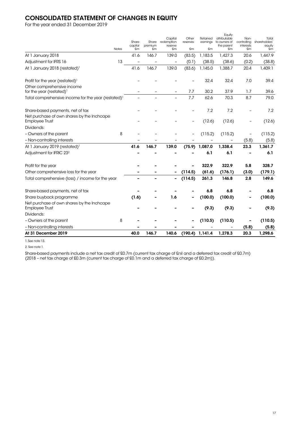# CONSOLIDATED STATEMENT OF CHANGES IN EQUITY

For the year ended 31 December 2019

| At 31 December 2019                                                                                     |              | 40.0          | 146.7          | 140.6             | (190.4)           | 1,141.4       | 1,278.3                | 20.3              | 1,298.6       |
|---------------------------------------------------------------------------------------------------------|--------------|---------------|----------------|-------------------|-------------------|---------------|------------------------|-------------------|---------------|
| - Non-controlling interests                                                                             |              |               |                |                   |                   |               |                        | (5.8)             | (5.8)         |
| - Owners of the parent                                                                                  | 8            |               |                |                   |                   | (110.5)       | (110.5)                |                   | (110.5)       |
| Dividends:                                                                                              |              |               |                |                   |                   |               |                        |                   |               |
| Net purchase of own shares by the Inchcape<br><b>Employee Trust</b>                                     |              |               |                |                   |                   | (9.3)         | (9.3)                  |                   | (9.3)         |
| Share buyback programme                                                                                 |              | (1.6)         |                | 1.6               |                   | (100.0)       | (100.0)                |                   | (100.0)       |
| Share-based payments, net of tax                                                                        |              |               |                |                   |                   | 6.8           | 6.8                    |                   | 6,8           |
| Total comprehensive (loss) / income for the year                                                        |              |               |                | $\qquad \qquad -$ | (114.5)           | 261.3         | 146.8                  | 2.8               | 149.6         |
| Other comprehensive loss for the year                                                                   |              |               |                |                   | (114.5)           | (61.6)        | (176.1)                | (3.0)             | (179.1)       |
| Profit for the year                                                                                     |              |               |                |                   |                   | 322.9         | 322.9                  | 5.8               | 328.7         |
| Adjustment for IFRIC 23 <sup>2</sup>                                                                    |              |               |                |                   |                   | 6.1           | 6.1                    |                   | 6.1           |
| At 1 January 2019 (restated) <sup>1</sup>                                                               |              | 41.6          | 146.7          | 139.0             | (75.9)            | 1,087.0       | 1,338.4                | 23.3              | 1,361.7       |
| - Non-controlling interests                                                                             |              |               |                |                   |                   |               |                        | (5.8)             | (5.8)         |
| - Owners of the parent                                                                                  | 8            |               |                |                   |                   | (115.2)       | (115.2)                |                   | (115.2)       |
| Dividends:                                                                                              |              |               |                |                   |                   |               |                        |                   |               |
| Share-based payments, net of tax<br>Net purchase of own shares by the Inchcape<br><b>Employee Trust</b> |              |               |                |                   | $\qquad \qquad -$ | 7.2<br>(12.6) | 7.2<br>(12.6)          | $\qquad \qquad -$ | 7.2<br>(12.6) |
|                                                                                                         |              |               |                |                   |                   |               |                        |                   |               |
| Total comprehensive income for the year (restated) <sup>1</sup>                                         |              |               |                |                   | 7.7               | 62.6          | 70.3                   | 8.7               | 79.0          |
| Other comprehensive income<br>for the year (restated) <sup>1</sup>                                      |              |               |                |                   | 7.7               | 30.2          | 37.9                   | 1.7               | 39.6          |
| Profit for the year (restated) <sup>1</sup>                                                             |              |               |                |                   |                   | 32.4          | 32.4                   | 7.0               | 39.4          |
| At 1 January 2018 (restated) <sup>1</sup>                                                               |              | 41.6          | 146.7          | 139.0             | (83.6)            | 1,145.0       | 1,388.7                | 20.4              | 1,409.1       |
| Adjustment for IFRS 16                                                                                  | 13           |               | $\overline{a}$ | -                 | (0.1)             | (38.5)        | (38.6)                 | (0.2)             | (38.8)        |
| At 1 January 2018                                                                                       |              | 41.6          | 146.7          | 139.0             | (83.5)            | 1,183.5       | 1,427.3                | 20.6              | 1,447.9       |
|                                                                                                         | <b>Notes</b> | capital<br>£m | premium<br>£m  | reserve<br>£m     | £m                | £m            | the parent<br>£m       | interests<br>£m   | equity<br>£m  |
|                                                                                                         |              | Share         | Share          | redemption        | reserves          | earnings      | to owners of           | controlling       | shareholders' |
|                                                                                                         |              |               |                | Capital           | Other             | Retained      | Equity<br>attributable | Non-              | Total         |

1. See note 13.

2. See note 1.

Share-based payments include a net tax credit of £0.7m (current tax charge of £nil and a deferred tax credit of £0.7m) (2018 – net tax charge of £0.3m (current tax charge of £0.1m and a deferred tax charge of £0.2m)).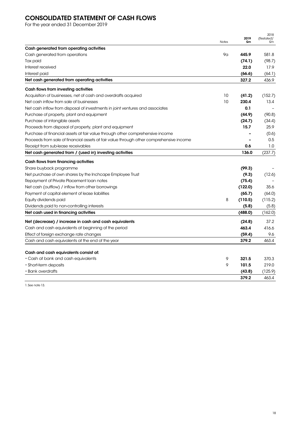# CONSOLIDATED STATEMENT OF CASH FLOWS

For the year ended 31 December 2019

|                                                                                         | <b>Notes</b> | 2019<br>£m | 2018<br>(Restated) <sup>1</sup><br>£m |
|-----------------------------------------------------------------------------------------|--------------|------------|---------------------------------------|
| Cash generated from operating activities                                                |              |            |                                       |
| Cash generated from operations                                                          | 9α           | 445.9      | 581.8                                 |
| Tax paid                                                                                |              | (74.1)     | (98.7)                                |
| Interest received                                                                       |              | 22.0       | 17.9                                  |
| Interest paid                                                                           |              | (66.6)     | (64.1)                                |
| Net cash generated from operating activities                                            |              | 327.2      | 436.9                                 |
| Cash flows from investing activities                                                    |              |            |                                       |
| Acquisition of businesses, net of cash and overdrafts acquired                          | 10           | (41.2)     | (152.7)                               |
| Net cash inflow from sale of businesses                                                 | 10           | 230.4      | 13.4                                  |
| Net cash inflow from disposal of investments in joint ventures and associates           |              | 0.1        |                                       |
| Purchase of property, plant and equipment                                               |              | (44.9)     | (90.8)                                |
| Purchase of intangible assets                                                           |              | (24.7)     | (34.4)                                |
| Proceeds from disposal of property, plant and equipment                                 |              | 15.7       | 25.9                                  |
| Purchase of financial assets at fair value through other comprehensive income           |              |            | (0.6)                                 |
| Proceeds from sale of financial assets at fair value through other comprehensive income |              |            | 0.5                                   |
| Receipt from sub-lease receivables                                                      |              | 0.6        | 1.0                                   |
| Net cash generated from / (used in) investing activities                                |              | 136.0      | (237.7)                               |
| Cash flows from financing activities                                                    |              |            |                                       |
| Share buyback programme                                                                 |              | (99.3)     |                                       |
| Net purchase of own shares by the Inchcape Employee Trust                               |              | (9.3)      | (12.6)                                |
| Repayment of Private Placement Ioan notes                                               |              | (75.4)     |                                       |
| Net cash (outflow) / inflow from other borrowings                                       |              | (122.0)    | 35.6                                  |
| Payment of capital element of lease liabilities                                         |              | (65.7)     | (64.0)                                |
| Equity dividends paid                                                                   | 8            | (110.5)    | (115.2)                               |
| Dividends paid to non-controlling interests                                             |              | (5.8)      | (5.8)                                 |
| Net cash used in financing activities                                                   |              | (488.0)    | (162.0)                               |
| Net (decrease) / increase in cash and cash equivalents                                  |              | (24.8)     | 37.2                                  |
| Cash and cash equivalents at beginning of the period                                    |              | 463.4      | 416.6                                 |
| Effect of foreign exchange rate changes                                                 |              | (59.4)     | 9.6                                   |
| Cash and cash equivalents at the end of the year                                        |              | 379.2      | 463.4                                 |
| Cash and cash equivalents consist of:                                                   |              |            |                                       |
| • Cash at bank and cash equivalents                                                     | 9            | 321.5      | 370.3                                 |
| • Short-term deposits                                                                   | 9            | 101.5      | 219.0                                 |
| $\cdot$ Bank overdrafts                                                                 |              | (43.8)     | (125.9)                               |
|                                                                                         |              | 379.2      | 463.4                                 |

1. See note 13.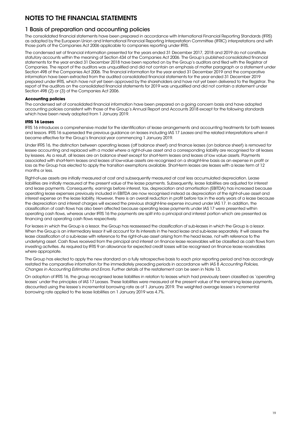# NOTES TO THE FINANCIAL STATEMENTS

### 1 Basis of preparation and accounting policies

The consolidated financial statements have been prepared in accordance with International Financial Reporting Standards (IFRS) as adopted by the European Union and International Financial Reporting Interpretation Committee (IFRIC) interpretations and with those parts of the Companies Act 2006 applicable to companies reporting under IFRS.

The condensed set of financial information presented for the years ended 31 December 2017, 2018 and 2019 do not constitute statutory accounts within the meaning of Section 434 of the Companies Act 2006. The Group's published consolidated financial statements for the year ended 31 December 2018 have been reported on by the Group's auditors and filed with the Registrar of Companies. The report of the auditors was unqualified and did not contain an emphasis of matter paragraph or a statement under Section 498 of the Companies Act 2006. The financial information for the year ended 31 December 2019 and the comparative information have been extracted from the audited consolidated financial statements for the year ended 31 December 2019 prepared under IFRS, which have not yet been approved by the shareholders and have not yet been delivered to the Registrar. The report of the auditors on the consolidated financial statements for 2019 was unqualified and did not contain a statement under Section 498 (2) or (3) of the Companies Act 2006.

#### **Accounting policies**

The condensed set of consolidated financial information have been prepared on a going concern basis and have adopted accounting policies consistent with those of the Group's Annual Report and Accounts 2018 except for the following standards which have been newly adopted from 1 January 2019.

#### **IFRS 16 Leases**

IFRS 16 introduces a comprehensive model for the identification of lease arrangements and accounting treatments for both lessees and lessors. IFRS 16 superseded the previous guidance on leases including IAS 17 Leases and the related interpretations when it became effective for the Group's financial year commencing 1 January 2019.

Under IFRS 16, the distinction between operating leases (off balance sheet) and finance leases (on balance sheet) is removed for lessee accounting and replaced with a model where a right-of-use asset and a corresponding liability are recognised for all leases by lessees. As a result, all leases are on balance sheet except for short-term leases and leases of low value assets. Payments associated with short-term leases and leases of low-value assets are recognised on a straight-line basis as an expense in profit or loss as the Group has elected to apply the transition exemptions available. Short-term leases are leases with a lease term of 12 months or less.

Right-of-use assets are initially measured at cost and subsequently measured at cost less accumulated depreciation. Lease liabilities are initially measured at the present value of the lease payments. Subsequently, lease liabilities are adjusted for interest and lease payments. Consequently, earnings before interest, tax, depreciation and amortisation (EBITDA) has increased because operating lease expenses previously included in EBITDA are now recognised instead as depreciation of the right-of-use asset and interest expense on the lease liability. However, there is an overall reduction in profit before tax in the early years of a lease because the depreciation and interest charges will exceed the previous straight-line expense incurred under IAS 17. In addition, the classification of cash flows has also been affected because operating lease payments under IAS 17 were presented within operating cash flows, whereas under IFRS 16 the payments are split into a principal and interest portion which are presented as financing and operating cash flows respectively.

For leases in which the Group is a lessor, the Group has reassessed the classification of sub-leases in which the Group is a lessor. When the Group is an intermediary lessor it will account for its interests in the head lease and sub-lease separately. It will assess the lease classification of a sub-lease with reference to the right-of-use asset arising from the head lease, not with reference to the underlying asset. Cash flows received from the principal and interest on finance lease receivables will be classified as cash flows from investing activities. As required by IFRS 9 an allowance for expected credit losses will be recognised on finance lease receivables where appropriate.

The Group has elected to apply the new standard on a fully retrospective basis to each prior reporting period and has accordingly restated the comparative information for the immediately preceding periods in accordance with IAS 8 Accounting Policies, Changes in Accounting Estimates and Errors. Further details of the restatement can be seen in Note 13.

On adoption of IFRS 16, the group recognised lease liabilities in relation to leases which had previously been classified as 'operating leases' under the principles of IAS 17 Leases. These liabilities were measured at the present value of the remaining lease payments, discounted using the lessee's incremental borrowing rate as of 1 January 2019. The weighted average lessee's incremental borrowing rate applied to the lease liabilities on 1 January 2019 was 4.7%.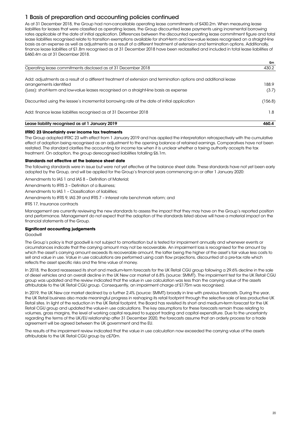# 1 Basis of preparation and accounting policies continued

As at 31 December 2018, the Group had non-cancellable operating lease commitments of £430.2m. When measuring lease liabilities for leases that were classified as operating leases, the Group discounted lease payments using incremental borrowing rates applicable at the date of initial application. Differences between the discounted operating lease commitment figure and total lease liabilities recognised relate to transition exemptions available for short-term and low-value leases recognised on a straight-line basis as an expense as well as adjustments as a result of a different treatment of extension and termination options. Additionally, finance lease liabilities of £1.8m recognised as at 31 December 2018 have been reclassified and included in total lease liabilities of £460.4m as at 31 December 2018.

|                                                                                                                 | £m      |
|-----------------------------------------------------------------------------------------------------------------|---------|
| Operating lease commitments disclosed as at 31 December 2018                                                    | 430.2   |
| Add: adjustments as a result of a different treatment of extension and termination options and additional lease |         |
| arrangements identified                                                                                         | 188.9   |
| (Less): short-term and low-value leases recognised on a straight-line basis as expense                          | (3.7)   |
| Discounted using the lessee's incremental borrowing rate at the date of initial application                     | (156.8) |
| Add: finance lease liabilities recognised as at 31 December 2018                                                | 1.8     |
| Lease liability recognised as at 1 January 2019                                                                 | 460.4   |

#### **IFRIC 23 Uncertainty over income tax treatments**

The Group adopted IFRIC 23 with effect from 1 January 2019 and has applied the interpretation retrospectively with the cumulative effect of adoption being recognised as an adjustment to the opening balance of retained earnings. Comparatives have not been restated. The standard clarifies the accounting for income tax when it is unclear whether a taxing authority accepts the tax treatment. On adoption, the group derecognised liabilities totalling £6.1m.

#### **Standards not effective at the balance sheet date**

The following standards were in issue but were not yet effective at the balance sheet date. These standards have not yet been early adopted by the Group, and will be applied for the Group's financial years commencing on or after 1 January 2020:

Amendments to IAS 1 and IAS 8 – Definition of Material;

Amendments to IFRS 3 – Definition of a Business;

Amendments to IAS 1 – Classification of liabilities;

Amendments to IFRS 9, IAS 39 and IFRS 7 – Interest rate benchmark reform; and

IFRS 17, Insurance contracts

Management are currently reviewing the new standards to assess the impact that they may have on the Group's reported position and performance. Management do not expect that the adoption of the standards listed above will have a material impact on the financial statements of the Group.

#### **Significant accounting judgements**

Goodwill

The Group's policy is that goodwill is not subject to amortisation but is tested for impairment annually and whenever events or circumstances indicate that the carrying amount may not be recoverable. An impairment loss is recognised for the amount by which the asset's carrying amount exceeds its recoverable amount, the latter being the higher of the asset's fair value less costs to sell and value in use. Value in use calculations are performed using cash flow projections, discounted at a pre-tax rate which reflects the asset specific risks and the time value of money.

In 2018, the Board reassessed its short and medium-term forecasts for the UK Retail CGU group following a 29.6% decline in the sale of diesel vehicles and an overall decline in the UK New car market of 6.8% (source: SMMT). The impairment test for the UK Retail CGU group was updated and the review indicated that the value in use calculation was less than the carrying value of the assets attributable to the UK Retail CGU group. Consequently, an impairment charge of £175m was recognised.

In 2019, the UK New car market declined by a further 2.4% (source: SMMT) broadly in line with previous forecasts. During the year, the UK Retail business also made meaningful progress in reshaping its retail footprint through the selective sale of less productive UK Retail sites. In light of the reduction in the UK Retail footprint, the Board has revisited its short and medium-term forecast for the UK Retail CGU group and updated the value-in use calculations. The key assumptions for these forecasts remain those relating to volumes, gross margins, the level of working capital required to support trading and capital expenditure. Due to the uncertainty regarding the terms of the UK/EU relationship after 31 December 2020, the forecasts assume that an orderly process for a trade agreement will be agreed between the UK government and the EU.

The results of the impairment review indicated that the value in use calculation now exceeded the carrying value of the assets attributable to the UK Retail CGU group by c£70m.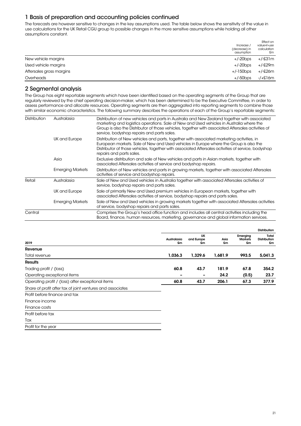# 1 Basis of preparation and accounting policies continued

The forecasts are however sensitive to changes in the key assumptions used. The table below shows the sensitivity of the value in use calculations for the UK Retail CGU group to possible changes in the more sensitive assumptions while holding all other assumptions constant.

|                          | Increase /<br>(decrease) in<br>assumption | Effect on<br>value-in-use<br>calculation<br>£m |
|--------------------------|-------------------------------------------|------------------------------------------------|
| New vehicle margins      | +/-20bps                                  | +/-£31m                                        |
| Used vehicle margins     | +/-20bps                                  | +/-£29m                                        |
| Aftersales gross margins | $+/-150$ bps                              | +/-£26m                                        |
| Overheads                | $+/-50$ bps                               | -/+£16m                                        |

### 2 Segmental analysis

The Group has eight reportable segments which have been identified based on the operating segments of the Group that are regularly reviewed by the chief operating decision-maker, which has been determined to be the Executive Committee, in order to assess performance and allocate resources. Operating segments are then aggregated into reporting segments to combine those with similar economic characteristics. The following summary describes the operations of each of the Group's reportable segments:

| <b>Distribution</b> | Australasia             | Distribution of new vehicles and parts in Australia and New Zealand together with associated<br>marketing and logistics operations. Sale of New and Used vehicles in Australia where the<br>Group is also the Distributor of those vehicles, together with associated Aftersales activities of<br>service, bodyshop repairs and parts sales. |
|---------------------|-------------------------|----------------------------------------------------------------------------------------------------------------------------------------------------------------------------------------------------------------------------------------------------------------------------------------------------------------------------------------------|
|                     | UK and Europe           | Distribution of New vehicles and parts, together with associated marketing activities, in<br>European markets. Sale of New and Used vehicles in Europe where the Group is also the<br>Distributor of those vehicles, together with associated Aftersales activities of service, bodyshop<br>repairs and parts sales.                         |
|                     | Asia                    | Exclusive distribution and sale of New vehicles and parts in Asian markets, together with<br>associated Aftersales activities of service and bodyshop repairs.                                                                                                                                                                               |
|                     | <b>Emerging Markets</b> | Distribution of New vehicles and parts in growing markets, together with associated Aftersales<br>activities of service and bodyshop repairs.                                                                                                                                                                                                |
| Retail              | Australasia             | Sale of New and Used vehicles in Australia together with associated Aftersales activities of<br>service, bodyshop repairs and parts sales.                                                                                                                                                                                                   |
|                     | UK and Europe           | Sale of primarily New and Used premium vehicles in European markets, together with<br>associated Aftersales activities of service, bodyshop repairs and parts sales.                                                                                                                                                                         |
|                     | <b>Emerging Markets</b> | Sale of New and Used vehicles in growing markets together with associated Aftersales activities<br>of service, bodyshop repairs and parts sales.                                                                                                                                                                                             |
| Central             |                         | Comprises the Group's head office function and includes all central activities including the<br>Board, finance, human resources, marketing, governance and global information services.                                                                                                                                                      |
|                     |                         |                                                                                                                                                                                                                                                                                                                                              |

|                                                            |                   |                               |            |                                  | <b>Distribution</b>                |
|------------------------------------------------------------|-------------------|-------------------------------|------------|----------------------------------|------------------------------------|
| 2019                                                       | Australasia<br>£m | <b>UK</b><br>and Europe<br>£m | Asia<br>£m | Emerging<br><b>Markets</b><br>£m | Total<br><b>Distribution</b><br>£m |
| Revenue                                                    |                   |                               |            |                                  |                                    |
| Total revenue                                              | 1,036.3           | 1,329.6                       | 1,681.9    | 993.5                            | 5,041.3                            |
| <b>Results</b>                                             |                   |                               |            |                                  |                                    |
| Trading profit / (loss)                                    | 60.8              | 43.7                          | 181.9      | 67.8                             | 354.2                              |
| Operating exceptional items                                | ۰                 |                               | 24.2       | (0.5)                            | 23.7                               |
| Operating profit / (loss) after exceptional items          | 60.8              | 43.7                          | 206.1      | 67.3                             | 377.9                              |
| Share of profit after tax of joint ventures and associates |                   |                               |            |                                  |                                    |
| Profit before finance and tax                              |                   |                               |            |                                  |                                    |
| Finance income                                             |                   |                               |            |                                  |                                    |
| Finance costs                                              |                   |                               |            |                                  |                                    |
| Profit before tax                                          |                   |                               |            |                                  |                                    |
| Tax                                                        |                   |                               |            |                                  |                                    |
| Profit for the year                                        |                   |                               |            |                                  |                                    |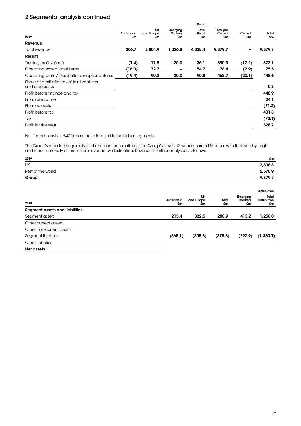|                                                               |                   |                        |                                  | Retail                |                                   |               |             |  |  |
|---------------------------------------------------------------|-------------------|------------------------|----------------------------------|-----------------------|-----------------------------------|---------------|-------------|--|--|
| 2019                                                          | Australasia<br>£m | UK<br>and Europe<br>£m | Emerging<br><b>Markets</b><br>£m | Total<br>Retail<br>£m | <b>Total pre</b><br>Central<br>£m | Central<br>£m | Total<br>£m |  |  |
| Revenue                                                       |                   |                        |                                  |                       |                                   |               |             |  |  |
| Total revenue                                                 | 306.7             | 3,004.9                | 1,026.8                          | 4,338.4               | 9.379.7                           |               | 9,379.7     |  |  |
| <b>Results</b>                                                |                   |                        |                                  |                       |                                   |               |             |  |  |
| Trading profit / (loss)                                       | (1.4)             | 17.5                   | 20.0                             | 36.1                  | 390.3                             | (17.2)        | 373.1       |  |  |
| Operating exceptional items                                   | (18.0)            | 72.7                   | -                                | 54.7                  | 78.4                              | (2.9)         | 75.5        |  |  |
| Operating profit / (loss) after exceptional items             | (19.4)            | 90.2                   | 20.0                             | 90.8                  | 468.7                             | (20.1)        | 448.6       |  |  |
| Share of profit after tax of joint ventures<br>and associates |                   |                        |                                  |                       |                                   |               | 0.3         |  |  |
| Profit before finance and tax                                 |                   |                        |                                  |                       |                                   |               | 448.9       |  |  |
| Finance income                                                |                   |                        |                                  |                       |                                   |               | 24.1        |  |  |
| Finance costs                                                 |                   |                        |                                  |                       |                                   |               | (71.2)      |  |  |
| Profit before tax                                             |                   |                        |                                  |                       |                                   |               | 401.8       |  |  |
| Tax                                                           |                   |                        |                                  |                       |                                   |               | (73.1)      |  |  |
| Profit for the year                                           |                   |                        |                                  |                       |                                   |               | 328.7       |  |  |

Net finance costs of £47.1m are not allocated to individual segments.

The Group's reported segments are based on the location of the Group's assets. Revenue earned from sales is disclosed by origin and is not materially different from revenue by destination. Revenue is further analysed as follows:

| 2019                           |                   |                               |            |                                  | £m                          |
|--------------------------------|-------------------|-------------------------------|------------|----------------------------------|-----------------------------|
| UK                             |                   |                               |            |                                  | 2,808.8                     |
| Rest of the world              |                   |                               |            |                                  | 6,570.9                     |
| Group                          |                   |                               |            |                                  | 9,379.7                     |
|                                |                   |                               |            |                                  | <b>Distribution</b>         |
| 2019                           | Australasia<br>£m | <b>UK</b><br>and Europe<br>£m | Asia<br>£m | Emerging<br><b>Markets</b><br>£m | Total<br>Distribution<br>£m |
| Segment assets and liabilities |                   |                               |            |                                  |                             |
| Segment assets                 | 215.4             | 332.5                         | 288.9      | 413.2                            | 1,250.0                     |
| Other current assets           |                   |                               |            |                                  |                             |
| Other non-current assets       |                   |                               |            |                                  |                             |
| Segment liabilities            | (368.1)           | (305.3)                       | (378.8)    | (297.9)                          | (1, 350.1)                  |
| Other liabilities              |                   |                               |            |                                  |                             |
| Net assets                     |                   |                               |            |                                  |                             |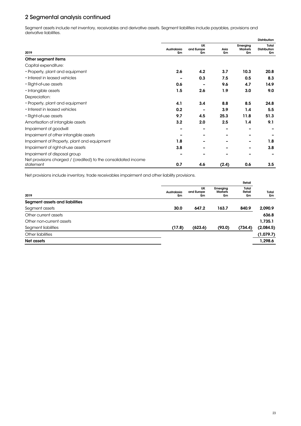Segment assets include net inventory, receivables and derivative assets. Segment liabilities include payables, provisions and derivative liabilities.

|                                                                             |                   |                               |            |                                  | <b>Distribution</b>         |
|-----------------------------------------------------------------------------|-------------------|-------------------------------|------------|----------------------------------|-----------------------------|
| 2019                                                                        | Australasia<br>£m | <b>UK</b><br>and Europe<br>£m | Asia<br>£m | Emerging<br><b>Markets</b><br>£m | Total<br>Distribution<br>£m |
| Other segment items                                                         |                   |                               |            |                                  |                             |
| Capital expenditure:                                                        |                   |                               |            |                                  |                             |
| • Property, plant and equipment                                             | 2.6               | 4.2                           | 3.7        | 10.3                             | 20.8                        |
| • Interest in leased vehicles                                               |                   | 0.3                           | 7.5        | 0.5                              | 8.3                         |
| • Right-of-use assets                                                       | 0.6               |                               | 9.6        | 4.7                              | 14.9                        |
| · Intangible assets                                                         | 1.5               | 2.6                           | 1.9        | 3.0                              | 9.0                         |
| Depreciation:                                                               |                   |                               |            |                                  |                             |
| • Property, plant and equipment                                             | 4.1               | 3.4                           | 8.8        | 8.5                              | 24.8                        |
| • Interest in leased vehicles                                               | 0.2               |                               | 3.9        | 1.4                              | 5.5                         |
| • Right-of-use assets                                                       | 9.7               | 4.5                           | 25.3       | 11.8                             | 51.3                        |
| Amortisation of intangible assets                                           | 3.2               | 2.0                           | 2.5        | 1.4                              | 9.1                         |
| Impairment of goodwill                                                      |                   |                               |            |                                  |                             |
| Impairment of other intangible assets                                       |                   |                               |            |                                  |                             |
| Impairment of Property, plant and equipment                                 | 1.8               |                               |            |                                  | 1.8                         |
| Impairment of right-of-use assets                                           | 3.8               |                               |            |                                  | 3.8                         |
| Impairment of disposal group                                                |                   |                               |            |                                  |                             |
| Net provisions charged / (credited) to the consolidated income<br>statement | 0.7               | 4.6                           | (2.4)      | 0.6                              | 3.5                         |

Net provisions include inventory, trade receivables impairment and other liability provisions.

|                                |                   |                        |                                  | Retail<br>Total<br>Retail<br>£m |             |
|--------------------------------|-------------------|------------------------|----------------------------------|---------------------------------|-------------|
| 2019                           | Australasia<br>£m | UK<br>and Europe<br>£m | Emerging<br><b>Markets</b><br>£m |                                 | Total<br>£m |
| Segment assets and liabilities |                   |                        |                                  |                                 |             |
| Segment assets                 | 30.0              | 647.2                  | 163.7                            | 840.9                           | 2.090.9     |
| Other current assets           |                   |                        |                                  |                                 | 636.8       |
| Other non-current assets       |                   |                        |                                  |                                 | 1,735.1     |
| Segment liabilities            | (17.8)            | (623.6)                | (93.0)                           | (734.4)                         | (2,084.5)   |
| Other liabilities              |                   |                        |                                  |                                 | (1,079.7)   |
| Net assets                     |                   |                        |                                  |                                 | 1,298.6     |
|                                |                   |                        |                                  |                                 |             |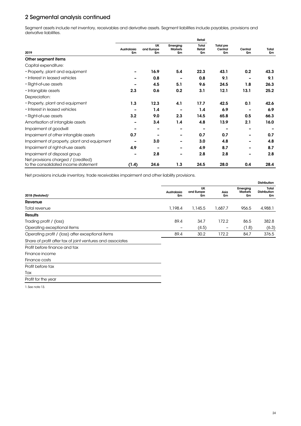Segment assets include net inventory, receivables and derivative assets. Segment liabilities include payables, provisions and derivative liabilities.

|                                                                             | Retail                   |                               |                                  |                       |                                   |               |             |
|-----------------------------------------------------------------------------|--------------------------|-------------------------------|----------------------------------|-----------------------|-----------------------------------|---------------|-------------|
| 2019                                                                        | Australasia<br>£m        | <b>UK</b><br>and Europe<br>£m | Emerging<br><b>Markets</b><br>£m | Total<br>Retail<br>£m | <b>Total pre</b><br>Central<br>£m | Central<br>£m | Total<br>£m |
| Other segment items                                                         |                          |                               |                                  |                       |                                   |               |             |
| Capital expenditure:                                                        |                          |                               |                                  |                       |                                   |               |             |
| • Property, plant and equipment                                             |                          | 16.9                          | 5.4                              | 22.3                  | 43.1                              | 0.2           | 43.3        |
| • Interest in leased vehicles                                               |                          | 0.8                           | -                                | 0.8                   | 9.1                               |               | 9.1         |
| • Right-of-use assets                                                       |                          | 4.5                           | 5.1                              | 9.6                   | 24.5                              | 1.8           | 26.3        |
| • Intangible assets                                                         | 2.3                      | 0.6                           | 0.2                              | 3.1                   | 12.1                              | 13.1          | 25.2        |
| Depreciation:                                                               |                          |                               |                                  |                       |                                   |               |             |
| • Property, plant and equipment                                             | 1.3                      | 12.3                          | 4.1                              | 17.7                  | 42.5                              | 0.1           | 42.6        |
| • Interest in leased vehicles                                               |                          | 1.4                           |                                  | 1.4                   | 6.9                               |               | 6.9         |
| • Right-of-use assets                                                       | 3.2                      | 9.0                           | 2.3                              | 14.5                  | 65.8                              | 0.5           | 66.3        |
| Amortisation of intangible assets                                           | $\overline{\phantom{0}}$ | 3.4                           | 1.4                              | 4.8                   | 13.9                              | 2.1           | 16.0        |
| Impairment of goodwill                                                      |                          |                               |                                  | -                     |                                   |               |             |
| Impairment of other intangible assets                                       | 0.7                      |                               |                                  | 0.7                   | 0.7                               |               | 0.7         |
| Impairment of property, plant and equipment                                 |                          | 3.0                           |                                  | 3.0                   | 4.8                               |               | 4.8         |
| Impairment of right-of-use assets                                           | 4.9                      |                               |                                  | 4.9                   | 8.7                               |               | 8.7         |
| Impairment of disposal group                                                |                          | 2.8                           | $\overline{\phantom{a}}$         | 2.8                   | 2.8                               |               | 2.8         |
| Net provisions charged / (credited)<br>to the consolidated income statement | (1.4)                    | 24.6                          | 1.3                              | 24.5                  | 28.0                              | 0.4           | 28.4        |

Net provisions include inventory, trade receivables impairment and other liability provisions.

|                                                            |                          |                        |            |                                  | <b>Distribution</b>                |
|------------------------------------------------------------|--------------------------|------------------------|------------|----------------------------------|------------------------------------|
| 2018 (Restated) <sup>1</sup>                               | Australasia<br>£m        | UK<br>and Europe<br>£m | Asia<br>£m | Emerging<br><b>Markets</b><br>£m | Total<br><b>Distribution</b><br>£m |
| Revenue                                                    |                          |                        |            |                                  |                                    |
| Total revenue                                              | 1,198.4                  | 1,145.5                | 1,687.7    | 956.5                            | 4,988.1                            |
| <b>Results</b>                                             |                          |                        |            |                                  |                                    |
| Trading profit / (loss)                                    | 89.4                     | 34.7                   | 172.2      | 86.5                             | 382.8                              |
| Operating exceptional items                                | $\overline{\phantom{0}}$ | (4.5)                  | -          | (1.8)                            | (6.3)                              |
| Operating profit / (loss) after exceptional items          | 89.4                     | 30.2                   | 172.2      | 84.7                             | 376.5                              |
| Share of profit after tax of joint ventures and associates |                          |                        |            |                                  |                                    |
| Profit before finance and tax                              |                          |                        |            |                                  |                                    |
| Finance income                                             |                          |                        |            |                                  |                                    |
| Finance costs                                              |                          |                        |            |                                  |                                    |

Profit before tax Tax

Profit for the year

1. See note 13.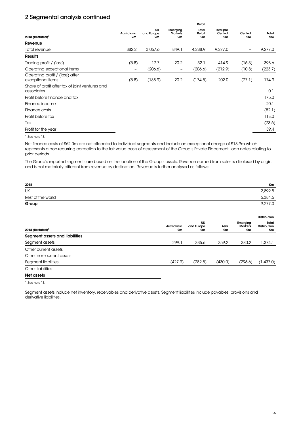|                                                               | Retail                       |                        |                                  |                       |                                   |               |             |
|---------------------------------------------------------------|------------------------------|------------------------|----------------------------------|-----------------------|-----------------------------------|---------------|-------------|
| 2018 (Restated) <sup>1</sup>                                  | Australasia<br>£m            | UK<br>and Europe<br>£m | Emerging<br><b>Markets</b><br>£m | Total<br>Retail<br>£m | <b>Total pre</b><br>Central<br>£m | Central<br>£m | Total<br>£m |
| Revenue                                                       |                              |                        |                                  |                       |                                   |               |             |
| Total revenue                                                 | 382.2                        | 3,057.6                | 849.1                            | 4,288.9               | 9,277.0                           |               | 9,277.0     |
| <b>Results</b>                                                |                              |                        |                                  |                       |                                   |               |             |
| Trading profit / (loss)                                       | (5.8)                        | 17.7                   | 20.2                             | 32.1                  | 414.9                             | (16.3)        | 398.6       |
| Operating exceptional items                                   | $\qquad \qquad \blacksquare$ | (206.6)                | $\overline{\phantom{0}}$         | (206.6)               | (212.9)                           | (10.8)        | (223.7)     |
| Operating profit / (loss) after<br>exceptional items          | (5.8)                        | (188.9)                | 20.2                             | (174.5)               | 202.0                             | (27.1)        | 174.9       |
| Share of profit after tax of joint ventures and<br>associates |                              |                        |                                  |                       |                                   |               | 0.1         |
| Profit before finance and tax                                 |                              |                        |                                  |                       |                                   |               | 175.0       |
| Finance income                                                |                              |                        |                                  |                       |                                   |               | 20.1        |
| Finance costs                                                 |                              |                        |                                  |                       |                                   |               | (82.1)      |
| Profit before tax                                             |                              |                        |                                  |                       |                                   |               | 113.0       |
| Tax                                                           |                              |                        |                                  |                       |                                   |               | (73.6)      |
| Profit for the year                                           |                              |                        |                                  |                       |                                   |               | 39.4        |

1. See note 13.

Net finance costs of £62.0m are not allocated to individual segments and include an exceptional charge of £13.9m which represents a non-recurring correction to the fair value basis of assessment of the Group's Private Placement Loan notes relating to prior periods.

The Group's reported segments are based on the location of the Group's assets. Revenue earned from sales is disclosed by origin and is not materially different from revenue by destination. Revenue is further analysed as follows:

| 2018              | £m      |
|-------------------|---------|
| <b>UK</b>         | 2,892.5 |
| Rest of the world | 6,384.5 |
| Group             | 9,277.0 |
|                   |         |

|                                |                   |                        |            |                                  | <b>Distribution</b>                |  |
|--------------------------------|-------------------|------------------------|------------|----------------------------------|------------------------------------|--|
| 2018 (Restated) <sup>1</sup>   | Australasia<br>£m | UK<br>and Europe<br>£m | Asia<br>£m | Emerging<br><b>Markets</b><br>£m | Total<br><b>Distribution</b><br>£m |  |
| Segment assets and liabilities |                   |                        |            |                                  |                                    |  |
| Segment assets                 | 299.1             | 335.6                  | 359.2      | 380.2                            | 1,374.1                            |  |
| Other current assets           |                   |                        |            |                                  |                                    |  |
| Other non-current assets       |                   |                        |            |                                  |                                    |  |
| Segment liabilities            | (427.9)           | (282.5)                | (430.0)    | (296.6)                          | (1,437.0)                          |  |
| Other liabilities              |                   |                        |            |                                  |                                    |  |
| Net assets                     |                   |                        |            |                                  |                                    |  |

1. See note 13.

Segment assets include net inventory, receivables and derivative assets. Segment liabilities include payables, provisions and derivative liabilities.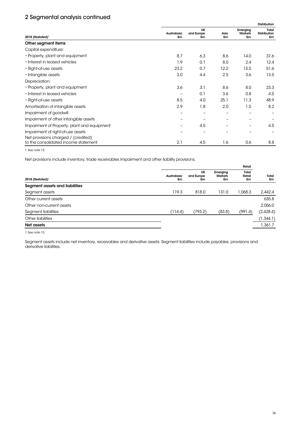|                                                                             |                   |                               |            |                                  | <b>Distribution</b>                |
|-----------------------------------------------------------------------------|-------------------|-------------------------------|------------|----------------------------------|------------------------------------|
| $2018$ (Restated) <sup>1</sup>                                              | Australasia<br>£m | <b>UK</b><br>and Europe<br>£m | Asia<br>£m | Emerging<br><b>Markets</b><br>£m | Total<br><b>Distribution</b><br>£m |
| Other segment items                                                         |                   |                               |            |                                  |                                    |
| Capital expenditure:                                                        |                   |                               |            |                                  |                                    |
| • Property, plant and equipment                                             | 8.7               | 6.3                           | 8.6        | 14.0                             | 37.6                               |
| • Interest in leased vehicles                                               | 1.9               | 0.1                           | 8.0        | 2.4                              | 12.4                               |
| • Right-of-use assets                                                       | 23.2              | 0.7                           | 12.2       | 15.5                             | 51.6                               |
| • Intangible assets                                                         | 3.0               | 4.4                           | 2.5        | 3.6                              | 13.5                               |
| Depreciation:                                                               |                   |                               |            |                                  |                                    |
| • Property, plant and equipment                                             | 3.6               | 3.1                           | 8.6        | 8.0                              | 23.3                               |
| • Interest in leased vehicles                                               |                   | 0.1                           | 3.6        | 0.8                              | 4.5                                |
| • Right-of-use assets                                                       | 8.5               | 4.0                           | 25.1       | 11.3                             | 48.9                               |
| Amortisation of intangible assets                                           | 2.9               | 1.8                           | 2.0        | 1.5                              | 8.2                                |
| Impairment of goodwill                                                      |                   |                               |            |                                  |                                    |
| Impairment of other intangible assets                                       |                   |                               |            |                                  |                                    |
| Impairment of Property, plant and equipment                                 |                   | 4.5                           |            |                                  | 4.5                                |
| Impairment of right-of-use assets                                           |                   |                               |            |                                  |                                    |
| Net provisions charged / (credited)<br>to the consolidated income statement | 2.1               | 4.5                           | 1.6        | 0.6                              | 8.8                                |

1. See note 13.

Net provisions include inventory, trade receivables impairment and other liability provisions.

|                                | Retail            |                        |                                  |                       |             |
|--------------------------------|-------------------|------------------------|----------------------------------|-----------------------|-------------|
| 2018 (Restated) <sup>1</sup>   | Australasia<br>£m | UK<br>and Europe<br>£m | Emerging<br><b>Markets</b><br>£m | Total<br>Retail<br>£m | Total<br>£m |
| Segment assets and liabilities |                   |                        |                                  |                       |             |
| Segment assets                 | 119.3             | 818.0                  | 131.0                            | 1,068.3               | 2,442.4     |
| Other current assets           |                   |                        |                                  |                       | 635.8       |
| Other non-current assets       |                   |                        |                                  |                       | 2,056.0     |
| Segment liabilities            | (114.4)           | (793.2)                | (83.8)                           | (991.4)               | (2,428.4)   |
| Other liabilities              |                   |                        |                                  |                       | (1,344.1)   |
| Net assets                     |                   |                        |                                  |                       | 1,361.7     |

1. See note 13.

Segment assets include net inventory, receivables and derivative assets. Segment liabilities include payables, provisions and derivative liabilities.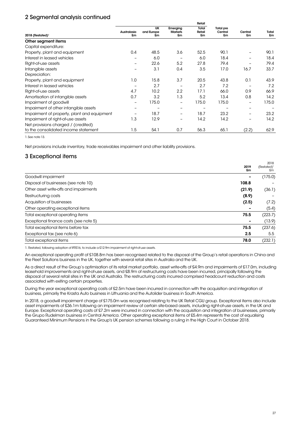|                                             | Retail            |                  |                          |              |                  |               |             |
|---------------------------------------------|-------------------|------------------|--------------------------|--------------|------------------|---------------|-------------|
|                                             |                   | <b>UK</b>        | Emerging                 | Total        | <b>Total pre</b> |               |             |
| 2018 (Restated) <sup>1</sup>                | Australasia<br>£m | and Europe<br>£m | <b>Markets</b><br>£m     | Retail<br>£m | Central<br>£m    | Central<br>£m | Total<br>£m |
| Other segment items                         |                   |                  |                          |              |                  |               |             |
| Capital expenditure:                        |                   |                  |                          |              |                  |               |             |
| Property, plant and equipment               | 0.4               | 48.5             | 3.6                      | 52.5         | 90.1             |               | 90.1        |
| Interest in leased vehicles                 |                   | 6.0              |                          | 6.0          | 18.4             |               | 18.4        |
| Right-of-use assets                         |                   | 22.6             | 5.2                      | 27.8         | 79.4             |               | 79.4        |
| Intangible assets                           |                   | 3.1              | 0.4                      | 3.5          | 17.0             | 16.7          | 33.7        |
| Depreciation:                               |                   |                  |                          |              |                  |               |             |
| Property, plant and equipment               | 1.0               | 15.8             | 3.7                      | 20.5         | 43.8             | 0.1           | 43.9        |
| Interest in leased vehicles                 | -                 | 2.7              |                          | 2.7          | 7.2              |               | 7.2         |
| Right-of-use assets                         | 4.7               | 10.2             | 2.2                      | 17.1         | 66.0             | 0.9           | 66.9        |
| Amortisation of intangible assets           | 0.7               | 3.2              | 1.3                      | 5.2          | 13.4             | 0.8           | 14.2        |
| Impairment of goodwill                      | -                 | 175.0            | $\overline{\phantom{m}}$ | 175.0        | 175.0            | -             | 175.0       |
| Impairment of other intangible assets       | -                 |                  |                          |              |                  |               |             |
| Impairment of property, plant and equipment |                   | 18.7             |                          | 18.7         | 23.2             |               | 23.2        |
| Impairment of right-of-use assets           | 1.3               | 12.9             |                          | 14.2         | 14.2             |               | 14.2        |
| Net provisions charged / (credited)         |                   |                  |                          |              |                  |               |             |
| to the consolidated income statement        | 1.5               | 54.1             | 0.7                      | 56.3         | 65.1             | (2.2)         | 62.9        |

1. See note 13.

Net provisions include inventory, trade receivables impairment and other liability provisions.

### 3 Exceptional items

|                                        | 2019<br>£m | 2018<br>(Restated) <sup>1</sup><br>£m |
|----------------------------------------|------------|---------------------------------------|
| Goodwill impairment                    |            | (175.0)                               |
| Disposal of businesses (see note 10)   | 108.8      |                                       |
| Other asset write-offs and impairments | (21.9)     | (36.1)                                |
| Restructuring costs                    | (8.9)      |                                       |
| Acquisition of businesses              | (2.5)      | (7.2)                                 |
| Other operating exceptional items      |            | (5.4)                                 |
| Total exceptional operating items      | 75.5       | (223.7)                               |
| Exceptional finance costs (see note 5) |            | (13.9)                                |
| Total exceptional items before tax     | 75.5       | (237.6)                               |
| Exceptional tax (see note 6)           | 2.5        | 5.5                                   |
| Total exceptional items                | 78.0       | (232.1)                               |

1. Restated, following adoption of IFRS16, to include a £12.9m impairment of right-of-use assets.

An exceptional operating profit of £108.8m has been recognised related to the disposal of the Group's retail operations in China and the Fleet Solutions business in the UK, together with several retail sites in Australia and the UK.

As a direct result of the Group's optimisation of its retail market portfolio, asset write-offs of £4.9m and impairments of £17.0m, including leasehold improvements and right-of-use assets, and £8.9m of restructuring costs have been incurred, principally following the disposal of several retail sites in the UK and Australia. The restructuring costs incurred comprised headcount reduction and costs associated with exiting certain properties.

During the year exceptional operating costs of £2.5m have been incurred in connection with the acquisition and integration of business, primarily the Krasta Auto business in Lithuania and the Autolider business in South America.

In 2018, a goodwill impairment charge of £175.0m was recognised relating to the UK Retail CGU group. Exceptional items also include asset impairments of £36.1m following an impairment review of certain site-based assets, including right-of-use assets, in the UK and Europe. Exceptional operating costs of £7.2m were incurred in connection with the acquisition and integration of businesses, primarily the Grupo Rudelman business in Central America. Other operating exceptional items of £5.4m represents the cost of equalising Guaranteed Minimum Pensions in the Group's UK pension schemes following a ruling in the High Court in October 2018.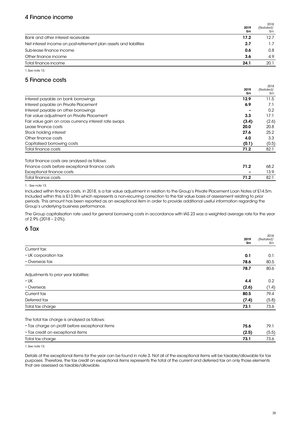### 4 Finance income

|                                                                    | 2019<br>£m | 2018<br>(Restated) <sup>1</sup><br>£m |
|--------------------------------------------------------------------|------------|---------------------------------------|
| Bank and other interest receivable                                 | 17.2       | 12.7                                  |
| Net interest income on post-retirement plan assets and liabilities | 2.7        | 1.7                                   |
| Sub-lease finance income                                           | 0.6        | 0.8                                   |
| Other finance income                                               | 3.6        | 4.9                                   |
| Total finance income                                               | 24.1       | 20.1                                  |

1.See note 13.

# 5 Finance costs

|                                                       |       | 2018                    |
|-------------------------------------------------------|-------|-------------------------|
|                                                       | 2019  | (Restated) <sup>1</sup> |
|                                                       | £m    | £m                      |
| Interest payable on bank borrowings                   | 12.9  | 11.5                    |
| Interest payable on Private Placement                 | 6.9   | 7.1                     |
| Interest payable on other borrowings                  |       | 0.2                     |
| Fair value adjustment on Private Placement            | 3.3   | 17.1                    |
| Fair value gain on cross currency interest rate swaps | (3.4) | (2.6)                   |
| Lease finance costs                                   | 20.0  | 20.8                    |
| Stock holding interest                                | 27.6  | 25.2                    |
| Other finance costs                                   | 4.0   | 3.3                     |
| Capitalised borrowing costs                           | (0.1) | (0.5)                   |
| Total finance costs                                   | 71.2  | 82.1                    |
| Total finance costs are analysed as follows:          |       |                         |
| Finance costs before exceptional finance costs        | 71.2  | 68.2                    |
| Exceptional finance costs                             |       | 13.9                    |

Total finance costs 71.2 82.1

1. See note 13.

Included within finance costs, in 2018, is a fair value adjustment in relation to the Group's Private Placement Loan Notes of £14.5m. Included within this is £13.9m which represents a non-recurring correction to the fair value basis of assessment relating to prior periods. This amount has been reported as an exceptional item in order to provide additional useful information regarding the Group's underlying business performance.

The Group capitalisation rate used for general borrowing costs in accordance with IAS 23 was a weighted average rate for the year of 2.9% (2018 – 2.0%).

### 6 Tax

|                                                 | 2019  | 2018<br>(Restated) <sup>1</sup> |
|-------------------------------------------------|-------|---------------------------------|
|                                                 | £m    | £m                              |
| Current tax:                                    |       |                                 |
| • UK corporation tax                            | 0.1   | 0.1                             |
| • Overseas tax                                  | 78.6  | 80.5                            |
|                                                 | 78.7  | 80.6                            |
| Adjustments to prior year liabilities:          |       |                                 |
| $\cdot$ UK                                      | 4.4   | 0.2                             |
| • Overseas                                      | (2.6) | (1.4)                           |
| Current tax                                     | 80.5  | 79.4                            |
| Deferred tax                                    | (7.4) | (5.8)                           |
| Total tax charge                                | 73.1  | 73.6                            |
| The total tax charge is analysed as follows:    |       |                                 |
| • Tax charge on profit before exceptional items | 75.6  | 79.1                            |
| • Tax credit on exceptional items               | (2.5) | (5.5)                           |
| Total tax charge                                | 73.1  | 73.6                            |

1. See note 13.

Details of the exceptional items for the year can be found in note 3. Not all of the exceptional items will be taxable/allowable for tax purposes. Therefore, the tax credit on exceptional items represents the total of the current and deferred tax on only those elements that are assessed as taxable/allowable.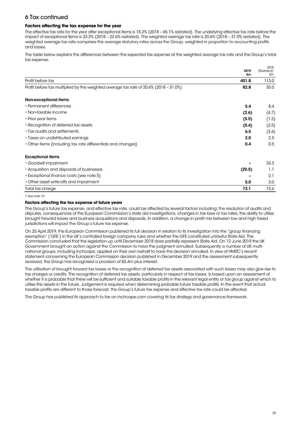# 6 Tax continued

#### **Factors affecting the tax expense for the year**

The effective tax rate for the year after exceptional items is 18.2% (2018 – 65.1% restated). The underlying effective tax rate before the impact of exceptional items is 23.2% (2018 – 22.6% restated). The weighted average tax rate is 20.6% (2018 – 31.0% restated). The weighted average tax rate comprises the average statutory rates across the Group, weighted in proportion to accounting profits and losses.

The table below explains the differences between the expected tax expense at the weighted average tax rate and the Group's total tax expense.

|                                                                                       | 2019   | 2018<br>(Restated) <sup>1</sup> |
|---------------------------------------------------------------------------------------|--------|---------------------------------|
|                                                                                       | £m     | £m                              |
| Profit before tax                                                                     | 401.8  | 113.0                           |
| Profit before tax multiplied by the weighted average tax rate of 20.6% (2018 - 31.0%) | 82.8   | 35.0                            |
| Non-exceptional items                                                                 |        |                                 |
| • Permanent differences                                                               | 5.4    | 8.4                             |
| • Non-taxable income                                                                  | (2.6)  | (4.7)                           |
| • Prior year items                                                                    | (5.5)  | (1.5)                           |
| • Recognition of deferred tax assets                                                  | (0.4)  | (2.5)                           |
| • Tax audits and settlements                                                          | 6.5    | (3.6)                           |
| • Taxes on undistributed earnings                                                     | 2.0    | 2.5                             |
| • Other items (including tax rate differentials and changes)                          | 0.4    | 0.5                             |
| <b>Exceptional items</b>                                                              |        |                                 |
| • Goodwill impairment                                                                 |        | 33.3                            |
| • Acquisition and disposals of businesses                                             | (20.5) | 1.1                             |
| • Exceptional finance costs (see note 5)                                              |        | 2.1                             |
| • Other asset write-offs and impairment                                               | 5.0    | 3.0                             |
| Total tax charge                                                                      | 73.1   | 73.6                            |

#### 1. See note 13.

#### **Factors affecting the tax expense of future years**

The Group's future tax expense, and effective tax rate, could be affected by several factors including; the resolution of audits and disputes, consequences of the European Commission's state aid investigations, changes in tax laws or tax rates, the ability to utilise brought forward losses and business acquisitions and disposals. In addition, a change in profit mix between low and high taxed jurisdictions will impact the Group's future tax expense.

On 25 April 2019, the European Commission published its full decision in relation to its investigation into the "group financing exemption" ('GFE') in the UK's controlled foreign company rules and whether the GFE constituted unlawful State Aid. The Commission concluded that the legislation up until December 2018 does partially represent State Aid. On 12 June 2019 the UK Government brought an action against the Commission to have the judgment annulled. Subsequently a number of UK multinational groups, including Inchcape, applied on their own behalf to have the decision annulled. In view of HMRC's recent statement concerning the European Commission decision published in December 2019 and the assessment subsequently received, the Group has recognised a provision of £5.4m plus interest.

The utilisation of brought forward tax losses or the recognition of deferred tax assets associated with such losses may also give rise to tax charges or credits. The recognition of deferred tax assets, particularly in respect of tax losses, is based upon an assessment of whether it is probable that there will be sufficient and suitable taxable profits in the relevant legal entity or tax group against which to utilise the assets in the future. Judgement is required when determining probable future taxable profits. In the event that actual taxable profits are different to those forecast, the Group's future tax expense and effective tax rate could be affected.

The Group has published its approach to tax on inchcape.com covering its tax strategy and governance framework.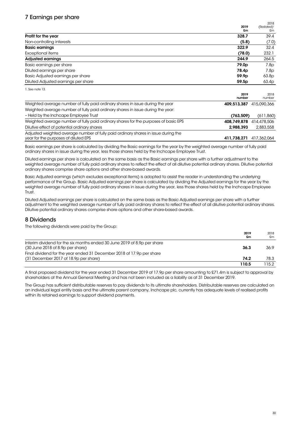# 7 Earnings per share

|                                                                                                                            |                   | 2018                          |
|----------------------------------------------------------------------------------------------------------------------------|-------------------|-------------------------------|
|                                                                                                                            | 2019<br>£m        | (Restated) <sup>1</sup><br>£m |
| Profit for the year                                                                                                        | 328.7             | 39.4                          |
| Non-controlling interests                                                                                                  | (5.8)             | (7.0)                         |
| <b>Basic earnings</b>                                                                                                      | 322.9             | 32.4                          |
| <b>Exceptional items</b>                                                                                                   | (78.0)            | 232.1                         |
| <b>Adjusted earnings</b>                                                                                                   | 244.9             | 264.5                         |
| Basic earnings per share                                                                                                   | 79.0 <sub>p</sub> | 7.8p                          |
| Diluted earnings per share                                                                                                 | 78.4p             | 7.8p                          |
| Basic Adjusted earnings per share                                                                                          | 59.9 <sub>p</sub> | 63.8p                         |
| Diluted Adjusted earnings per share                                                                                        | 59.5p             | 63.4p                         |
| 1. See note 13.                                                                                                            |                   |                               |
|                                                                                                                            | 2019<br>number    | 2018<br>number                |
| Weighted average number of fully paid ordinary shares in issue during the year                                             | 409,513,387       | 415,090,366                   |
| Weighted average number of fully paid ordinary shares in issue during the year:                                            |                   |                               |
| - Held by the Inchcape Employee Trust                                                                                      | (763, 509)        | (611, 860)                    |
| Weighted average number of fully paid ordinary shares for the purposes of basic EPS                                        | 408,749,878       | 414,478,506                   |
| Dilutive effect of potential ordinary shares                                                                               | 2.988.393         | 2,883,558                     |
| Adjusted weighted average number of fully paid ordinary shares in issue during the<br>year for the purposes of diluted EPS | 411,738,271       | 417,362,064                   |

Basic earnings per share is calculated by dividing the Basic earnings for the year by the weighted average number of fully paid ordinary shares in issue during the year, less those shares held by the Inchcape Employee Trust.

Diluted earnings per share is calculated on the same basis as the Basic earnings per share with a further adjustment to the weighted average number of fully paid ordinary shares to reflect the effect of all dilutive potential ordinary shares. Dilutive potential ordinary shares comprise share options and other share-based awards.

Basic Adjusted earnings (which excludes exceptional items) is adopted to assist the reader in understanding the underlying performance of the Group. Basic Adjusted earnings per share is calculated by dividing the Adjusted earnings for the year by the weighted average number of fully paid ordinary shares in issue during the year, less those shares held by the Inchcape Employee Trust.

Diluted Adjusted earnings per share is calculated on the same basis as the Basic Adjusted earnings per share with a further adjustment to the weighted average number of fully paid ordinary shares to reflect the effect of all dilutive potential ordinary shares. Dilutive potential ordinary shares comprise share options and other share-based awards.

### 8 Dividends

The following dividends were paid by the Group:

|                                                                                                                | 2019<br>£m | 2018<br>£m |
|----------------------------------------------------------------------------------------------------------------|------------|------------|
| Interim dividend for the six months ended 30 June 2019 of 8.9p per share<br>$(30$ June 2018 of 8.9p per share) | 36.3       | 36.9       |
| Final dividend for the year ended 31 December 2018 of 17.9p per share<br>(31 December 2017 of 18.9p per share) | 74.2       | 78.3       |
|                                                                                                                | 110.5      | 115.2      |

A final proposed dividend for the year ended 31 December 2019 of 17.9p per share amounting to £71.4m is subject to approval by shareholders at the Annual General Meeting and has not been included as a liability as at 31 December 2019.

The Group has sufficient distributable reserves to pay dividends to its ultimate shareholders. Distributable reserves are calculated on an individual legal entity basis and the ultimate parent company, Inchcape plc, currently has adequate levels of realised profits within its retained earnings to support dividend payments.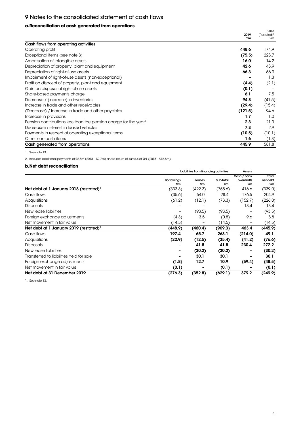# 9 Notes to the consolidated statement of cash flows

### **a. Reconciliation of cash generated from operations**

| gunurarua num uporanum                                                       |         | 2018                    |
|------------------------------------------------------------------------------|---------|-------------------------|
|                                                                              | 2019    | (Restated) <sup>1</sup> |
|                                                                              | £m      | £m                      |
| Cash flows from operating activities                                         |         |                         |
| Operating profit                                                             | 448.6   | 174.9                   |
| Exceptional items (see note 3)                                               | (75.5)  | 223.7                   |
| Amortisation of intangible assets                                            | 16.0    | 14.2                    |
| Depreciation of property, plant and equipment                                | 42.6    | 43.9                    |
| Depreciation of right-of-use assets                                          | 66.3    | 66.9                    |
| Impairment of right-of-use assets (non-exceptional)                          |         | 1.3                     |
| Profit on disposal of property, plant and equipment                          | (4.4)   | (2.1)                   |
| Gain on disposal of right-of-use assets                                      | (0.1)   |                         |
| Share-based payments charge                                                  | 6.1     | 7.5                     |
| Decrease / (increase) in inventories                                         | 94.8    | (41.5)                  |
| Increase in trade and other receivables                                      | (29.4)  | (15.4)                  |
| (Decrease) / increase in trade and other payables                            | (121.5) | 94.6                    |
| Increase in provisions                                                       | 1.7     | 1.0                     |
| Pension contributions less than the pension charge for the year <sup>2</sup> | 2.3     | 21.3                    |
| Decrease in interest in leased vehicles                                      | 7.3     | 2.9                     |
| Payments in respect of operating exceptional items                           | (10.5)  | (10.1)                  |
| Other non-cash items                                                         | 1.6     | (1.3)                   |
| Cash generated from operations                                               | 445.9   | 581.8                   |

1. See note 13.

2. Includes additional payments of £2.8m (2018 – £2.7m) and a return of surplus of £nil (2018 – £16.8m).

#### **b. Net debt reconciliation**

|                                                    |                         | Liabilities from financing activities |                 | Assets                          |                         |
|----------------------------------------------------|-------------------------|---------------------------------------|-----------------|---------------------------------|-------------------------|
|                                                    | <b>Borrowings</b><br>£m | Leases<br>£m                          | Sub-total<br>£m | Cash / bank<br>overdrafts<br>£m | Total<br>net debt<br>£m |
| Net debt at 1 January 2018 (restated) <sup>1</sup> | (333.3)                 | (422.3)                               | (755.6)         | 416.6                           | (339.0)                 |
| Cash flows                                         | (35.6)                  | 64.0                                  | 28.4            | 176.5                           | 204.9                   |
| Acquisitions                                       | (61.2)                  | (12.1)                                | (73.3)          | (152.7)                         | (226.0)                 |
| <b>Disposals</b>                                   |                         |                                       |                 | 13.4                            | 13.4                    |
| New lease liabilities                              |                         | (93.5)                                | (93.5)          |                                 | (93.5)                  |
| Foreign exchange adjustments                       | (4.3)                   | 3.5                                   | (0.8)           | 9.6                             | 8.8                     |
| Net movement in fair value                         | (14.5)                  |                                       | (14.5)          |                                 | (14.5)                  |
| Net debt at 1 January 2019 (restated) <sup>1</sup> | (448.9)                 | (460.4)                               | (909.3)         | 463.4                           | (445.9)                 |
| Cash flows                                         | 197.4                   | 65.7                                  | 263.1           | (214.0)                         | 49.1                    |
| Acquisitions                                       | (22.9)                  | (12.5)                                | (35.4)          | (41.2)                          | (76.6)                  |
| <b>Disposals</b>                                   |                         | 41.8                                  | 41.8            | 230.4                           | 272.2                   |
| New lease liabilities                              |                         | (30.2)                                | (30.2)          |                                 | (30.2)                  |
| Transferred to liabilities held for sale           |                         | 30.1                                  | 30.1            |                                 | 30.1                    |
| Foreign exchange adjustments                       | (1.8)                   | 12.7                                  | 10.9            | (59.4)                          | (48.5)                  |
| Net movement in fair value                         | (0.1)                   |                                       | (0.1)           |                                 | (0.1)                   |
| Net debt at 31 December 2019                       | (276.3)                 | (352.8)                               | (629.1)         | 379.2                           | (249.9)                 |

1. See note 13.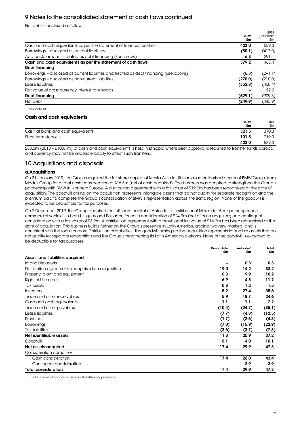# 9 Notes to the consolidated statement of cash flows continued

Net debt is analysed as follows:

|                                                                                         | 2019<br>£m | (Restated) <sup>1</sup><br>£m |
|-----------------------------------------------------------------------------------------|------------|-------------------------------|
| Cash and cash equivalents as per the statement of financial position                    | 423.0      | 589.3                         |
| Borrowings - disclosed as current liabilities                                           | (50.1)     | (417.0)                       |
| Add back: amounts treated as debt financing (see below)                                 | 6.3        | 291.1                         |
| Cash and cash equivalents as per the statement of cash flows                            | 379.2      | 463.4                         |
| Debt financing                                                                          |            |                               |
| Borrowings - disclosed as current liabilities and treated as debt financing (see above) | (6.3)      | (291.1)                       |
| Borrowings - disclosed as non-current liabilities                                       | (270.0)    | (210.0)                       |
| Lease liabilities                                                                       | (352.8)    | (460.4)                       |
| Fair value of cross currency interest rate swaps                                        |            | 52.2                          |
| Debt financing                                                                          | (629.1)    | (909.3)                       |
| Net debt                                                                                | (249.9)    | (445.9)                       |

1. See note 13.

#### **Cash and cash equivalents**

|                                   | 2019<br>£m | 2018<br>£m |
|-----------------------------------|------------|------------|
| Cash at bank and cash equivalents | 321.5      | 370.3      |
| Short-term deposits               | 101.5      | 219.0      |
|                                   | 423.0      | 589.3      |

£88.0m (2018 – £100.1m) of cash and cash equivalents is held in Ethiopia where prior approval is required to transfer funds abroad, and currency may not be available locally to effect such transfers.

### 10 Acquisitions and disposals

#### **a. Acquisitions**

On 31 January 2019, the Group acquired the full share capital of Krasta Auto in Lithuania, an authorised dealer of BMW Group, from Modus Group for a total cash consideration of £16.3m (net of cash acquired). The business was acquired to strengthen the Group's partnership with BMW in Northern Europe. A distribution agreement with a fair value of £19.0m has been recognised at the date of acquisition. The goodwill arising on the acquisition represents intangible assets that do not qualify for separate recognition and the premium paid to complete the Group's consolidation of BMW's representation across the Baltic region. None of the goodwill is expected to be deductible for tax purposes.

On 2 December 2019, the Group acquired the full share capital of Autolider, a distributor of Mercedes-Benz passenger and commercial vehicles in both Uruguay and Ecuador, for cash consideration of £24.9m (net of cash acquired) and contingent consideration with a fair value of £3.9m. A distribution agreement with a provisional fair value of £14.2m has been recognised at the date of acquisition. This business builds further on the Group's presence in Latin America, adding two new markets, and is consistent with the focus on core Distribution capabilities. The goodwill arising on the acquisition represents intangible assets that do not qualify for separate recognition and the Group strengthening its Latin American platform. None of the goodwill is expected to be deductible for tax purposes.

|                                                   | Krasta Auto<br>£m | Autolider <sup>1</sup><br>£m | Total<br>£m       |
|---------------------------------------------------|-------------------|------------------------------|-------------------|
| Assets and liabilities acquired                   |                   |                              |                   |
| Intangible assets                                 |                   | 0.3                          | 0.3               |
| Distribution agreements recognised on acquisition | 19.0              | 14.2                         | 33.2              |
| Property, plant and equipment                     | 0.3               | 9.9                          | 10.2 <sub>1</sub> |
| Right-of-Use assets                               | 6.9               | 4.8                          | 11.7              |
| Tax assets                                        | 0.3               | 1.2                          | 1.5               |
| Inventory                                         | 8.2               | 27.4                         | 35.6              |
| Trade and other receivables                       | 5.9               | 18.7                         | 24.6              |
| Cash and cash equivalents                         | 1.1               | 1.1                          | 2.2 <sub>2</sub>  |
| Trade and other payables                          | (10.4)            | (24.7)                       | (35.1)            |
| Lease liabilities                                 | (7.7)             | (4.8)                        | (12.5)            |
| Provisions                                        | (1.7)             | (2.6)                        | (4.3)             |
| <b>Borrowings</b>                                 | (7.0)             | (15.9)                       | (22.9)            |
| <b>Tax liabilities</b>                            | (3.6)             | (3.7)                        | (7.3)             |
| Net identifiable assets                           | 11.3              | 25.9                         | 37.2              |
| Goodwill                                          | 6.1               | 4.0                          | 10.1              |
| Net assets acquired                               | 17.4              | 29.9                         | 47.3              |
| <b>Consideration comprises</b>                    |                   |                              |                   |
| Cash consideration                                | 17.4              | 26.0                         | 43.4              |
| Contingent consideration                          |                   | 3.9                          | 3.9               |
| <b>Total consideration</b>                        | 17.4              | 29.9                         | 47.3              |

1. The fair values of acquired assets and liabilities are provisional.

2018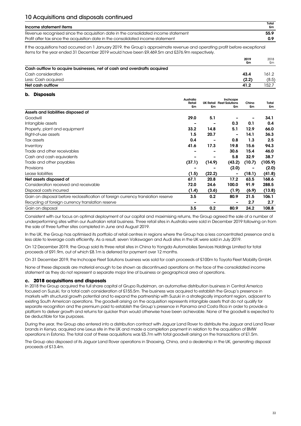| Income statement items                                                             | Total<br>£m |
|------------------------------------------------------------------------------------|-------------|
| Revenue recognised since the acquisition date in the consolidated income statement | 55.9        |
| Profit after tax since the acquisition date in the consolidated income statement   | 0.9         |

If the acquisitions had occurred on 1 January 2019, the Group's approximate revenue and operating profit before exceptional items for the year ended 31 December 2019 would have been £9,469.5m and £376.9m respectively.

|                                                                         | 2019<br>£m | 2018<br>£m |
|-------------------------------------------------------------------------|------------|------------|
| Cash outflow to acquire businesses, net of cash and overdrafts acquired |            |            |
| Cash consideration                                                      | 43.4       | 161.2      |
| Less: Cash acquired                                                     | (2.2)      | (8.5)      |
| Net cash outflow                                                        | 41.2       | 152.7      |

#### **b. Disposals**

|                                                                                  | Australia | Inchcape |                                  |        |         |
|----------------------------------------------------------------------------------|-----------|----------|----------------------------------|--------|---------|
|                                                                                  | Retail    |          | <b>UK Retail Fleet Solutions</b> | China  | Total   |
|                                                                                  | £m        | £m       | £m                               | £m     | £m      |
| Assets and liabilities disposed of                                               |           |          |                                  |        |         |
| Goodwill                                                                         | 29.0      | 5.1      |                                  |        | 34.1    |
| Intangible assets                                                                |           | -        | 0.3                              | 0.1    | 0.4     |
| Property, plant and equipment                                                    | 33.2      | 14.8     | 5.1                              | 12.9   | 66.0    |
| Right-of-use assets                                                              | 1.5       | 20.7     |                                  | 14.1   | 36.3    |
| Tax assets                                                                       | 0.4       |          | 0.8                              | 1.3    | 2.5     |
| Inventory                                                                        | 41.6      | 17.3     | 19.8                             | 15.6   | 94.3    |
| Trade and other receivables                                                      |           | -        | 30.6                             | 15.4   | 46.0    |
| Cash and cash equivalents                                                        |           | -        | 5.8                              | 32.9   | 38.7    |
| Trade and other payables                                                         | (37.1)    | (14.9)   | (43.2)                           | (10.7) | (105.9) |
| Provisions                                                                       |           |          | (2.0)                            |        | (2.0)   |
| Lease liabilities                                                                | (1.5)     | (22.2)   | -                                | (18.1) | (41.8)  |
| Net assets disposed of                                                           | 67.1      | 20.8     | 17.2                             | 63.5   | 168.6   |
| Consideration received and receivable                                            | 72.0      | 24.6     | 100.0                            | 91.9   | 288.5   |
| Disposal costs incurred                                                          | (1.4)     | (3.6)    | (1.9)                            | (6.9)  | (13.8)  |
| Gain on disposal before reclassification of foreign currency translation reserve | 3.5       | 0.2      | 80.9                             | 21.5   | 106.1   |
| Recycling of foreign currency translation reserve                                |           |          |                                  | 2.7    | 2.7     |
| Gain on disposal                                                                 | 3.5       | 0.2      | 80.9                             | 24.2   | 108.8   |

Consistent with our focus on optimal deployment of our capital and maximising returns, the Group agreed the sale of a number of underperforming sites within our Australian retail business. Three retail sites in Australia were sold in December 2019 following on from the sale of three further sites completed in June and August 2019.

In the UK, the Group has optimised its portfolio of retail centres in regions where the Group has a less concentrated presence and is less able to leverage costs efficiently. As a result, seven Volkswagen and Audi sites in the UK were sold in July 2019.

On 12 December 2019, the Group sold its three retail sites in China to Yongda Automobiles Services Holdings Limited for total proceeds of £91.9m, out of which £8.1m is deferred for payment over 12 months.

On 31 December 2019, the Inchcape Fleet Solutions business was sold for cash proceeds of £100m to Toyota Fleet Mobility GmbH.

None of these disposals are material enough to be shown as discontinued operations on the face of the consolidated income statement as they do not represent a separate major line of business or geographical area of operations.

#### **c. 2018 acquisitions and disposals**

In 2018 the Group acquired the full share capital of Grupo Rudelman, an automotive distribution business in Central America focused on Suzuki, for a total cash consideration of £155.5m. The business was acquired to establish the Group's presence in markets with structural growth potential and to expand the partnership with Suzuki in a strategically important region, adjacent to existing South American operations. The goodwill arising on the acquisition represents intangible assets that do not qualify for separate recognition and the premium paid to establish the Group's presence in Panama and Costa Rica in order to provide a platform to deliver growth and returns far quicker than would otherwise have been achievable. None of the goodwill is expected to be deductible for tax purposes.

During the year, the Group also entered into a distribution contract with Jaguar Land Rover to distribute the Jaguar and Land Rover brands in Kenya, acquired one Lexus site in the UK and made a completion payment in relation to the acquisition of BMW operations in Estonia. The total cost of these acquisitions was £5.7m with total goodwill arising on the transactions of £1.5m.

The Group also disposed of its Jaguar Land Rover operations in Shaoxing, China, and a dealership in the UK, generating disposal proceeds of £13.4m.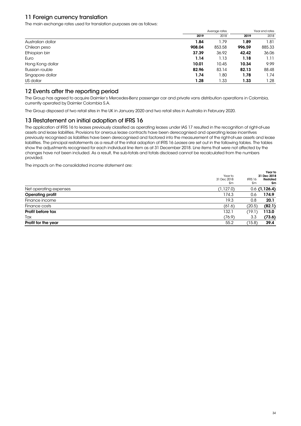# 11 Foreign currency translation

The main exchange rates used for translation purposes are as follows:

|                   | Average rates |        | Year end rates |        |
|-------------------|---------------|--------|----------------|--------|
|                   | 2019          | 2018   | 2019           | 2018   |
| Australian dollar | 1.84          | 1.79   | 1.89           | 1.81   |
| Chilean peso      | 908.04        | 853.58 | 996.59         | 885.33 |
| Ethiopian birr    | 37.39         | 36.92  | 42.42          | 36.06  |
| Euro              | 1.14          | 1.13   | 1.18           | 1.11   |
| Hong Kong dollar  | 10.01         | 10.45  | 10.34          | 9.99   |
| Russian rouble    | 82.96         | 83.14  | 82.13          | 88.48  |
| Singapore dollar  | 1.74          | 1.80   | 1.78           | 1.74   |
| US dollar         | 1.28          | 1.33   | 1.33           | 1.28   |

### 12 Events after the reporting period

The Group has agreed to acquire Daimler's Mercedes-Benz passenger car and private vans distribution operations in Colombia, currently operated by Daimler Colombia S.A.

The Group disposed of two retail sites in the UK in January 2020 and two retail sites in Australia in February 2020.

### 13 Restatement on initial adoption of IFRS 16

The application of IFRS 16 to leases previously classified as operating leases under IAS 17 resulted in the recognition of right-of-use assets and lease liabilities. Provisions for onerous lease contracts have been derecognised and operating lease incentives previously recognised as liabilities have been derecognised and factored into the measurement of the right-of-use assets and lease liabilities. The principal restatements as a result of the initial adoption of IFRS 16 Leases are set out in the following tables. The tables show the adjustments recognised for each individual line item as at 31 December 2018. Line items that were not affected by the changes have not been included. As a result, the sub-totals and totals disclosed cannot be recalculated from the numbers provided.

The impacts on the consolidated income statement are:

|                         | Year to<br>31 Dec 2018<br>£m | IFRS 16<br>£m | Year to<br>31 Dec 2018<br>Restated<br>£m |
|-------------------------|------------------------------|---------------|------------------------------------------|
| Net operating expenses  | (1, 127.0)                   |               | $0.6$ (1,126.4)                          |
| <b>Operating profit</b> | 174.3                        | 0.6           | 174.9                                    |
| Finance income          | 19.3                         | 0.8           | 20.1                                     |
| Finance costs           | (61.6)                       | (20.5)        | (82.1)                                   |
| Profit before tax       | 132.1                        | (19.1)        | 113.0                                    |
| Tax                     | (76.9)                       | 3.3           | (73.6)                                   |
| Profit for the year     | 55.2                         | (15.8)        | 39.4                                     |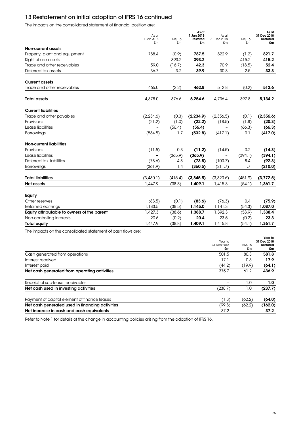# 13 Restatement on initial adoption of IFRS 16 continued

The impacts on the consolidated statement of financial position are:

|                                                              | As at<br>1 Jan 2018<br>£m | IFRS 16<br>£m | As at<br>1 Jan 2018<br><b>Restated</b><br>£m | As at<br>31 Dec 2018<br>£m   | IFRS 16<br>£m | As at<br>31 Dec 2018<br><b>Restated</b><br>£m |
|--------------------------------------------------------------|---------------------------|---------------|----------------------------------------------|------------------------------|---------------|-----------------------------------------------|
| Non-current assets                                           |                           |               |                                              |                              |               |                                               |
| Property, plant and equipment                                | 788.4                     | (0.9)         | 787.5                                        | 822.9                        | (1.2)         | 821.7                                         |
| Right-of-use assets                                          | $\overline{\phantom{0}}$  | 393.2         | 393.2                                        | $\overline{a}$               | 415.2         | 415.2                                         |
| Trade and other receivables                                  | 59.0                      | (16.7)        | 42.3                                         | 70.9                         | (18.5)        | 52.4                                          |
| Deferred tax assets                                          | 36.7                      | 3.2           | 39.9                                         | 30.8                         | 2.5           | 33.3                                          |
| <b>Current assets</b>                                        |                           |               |                                              |                              |               |                                               |
| Trade and other receivables                                  | 465.0                     | (2.2)         | 462.8                                        | 512.8                        | (0.2)         | 512.6                                         |
| <b>Total assets</b>                                          | 4,878.0                   | 376.6         | 5,254.6                                      | 4,736.4                      | 397.8         | 5,134.2                                       |
| <b>Current liabilities</b>                                   |                           |               |                                              |                              |               |                                               |
| Trade and other payables                                     | (2, 234.6)                | (0.3)         | (2, 234.9)                                   | (2,356.5)                    | (0.1)         | (2,356.6)                                     |
| Provisions                                                   | (21.2)                    | (1.0)         | (22.2)                                       | (18.5)                       | (1.8)         | (20.3)                                        |
| Lease liabilities                                            | $\overline{\phantom{a}}$  | (56.4)        | (56.4)                                       |                              | (66.3)        | (66.3)                                        |
| Borrowings                                                   | (534.5)                   | 1.7           | (532.8)                                      | (417.1)                      | 0.1           | (417.0)                                       |
| Non-current liabilities                                      |                           |               |                                              |                              |               |                                               |
| Provisions                                                   | (11.5)                    | 0.3           | (11.2)                                       | (14.5)                       | 0.2           | (14.3)                                        |
| Lease liabilities                                            | $\overline{\phantom{a}}$  | (365.9)       | (365.9)                                      |                              | (394.1)       | (394.1)                                       |
| Deferred tax liabilities                                     | (78.6)                    | 4.8           | (73.8)                                       | (100.7)                      | 8.4           | (92.3)                                        |
| <b>Borrowings</b>                                            | (361.9)                   | 1.4           | (360.5)                                      | (211.7)                      | 1.7           | (210.0)                                       |
| <b>Total liabilities</b>                                     | (3,430.1)                 | (415.4)       | (3,845.5)                                    | (3,320.6)                    | (451.9)       | (3, 772.5)                                    |
| Net assets                                                   | 1.447.9                   | (38.8)        | 1,409.1                                      | 1,415.8                      | (54.1)        | 1,361.7                                       |
| Equity                                                       |                           |               |                                              |                              |               |                                               |
| Other reserves                                               | (83.5)                    | (0.1)         | (83.6)                                       | (76.3)                       | 0.4           | (75.9)                                        |
| Retained earnings                                            | 1,183.5                   | (38.5)        | 1,145.0                                      | 1,141.3                      | (54.3)        | 1,087.0                                       |
| Equity attributable to owners of the parent                  | 1,427.3                   | (38.6)        | 1,388.7                                      | 1,392.3                      | (53.9)        | 1,338.4                                       |
| Non-controlling interests                                    | 20.6                      | (0.2)         | 20.4                                         | 23.5                         | (0.2)         | 23.3                                          |
| Total equity                                                 | 1,447.9                   | (38.8)        | 1,409.1                                      | 1,415.8                      | (54.1)        | 1,361.7                                       |
| The impacts on the consolidated statement of cash flows are: |                           |               |                                              |                              |               |                                               |
|                                                              |                           |               |                                              | Year to<br>31 Dec 2018<br>£m | IFRS 16<br>£m | Year to<br>31 Dec 2018<br>Restated<br>£m      |
| Cash aenerated from operations                               |                           |               |                                              | 501.5                        | 80.3          | 581.8                                         |
| Interest received                                            |                           |               |                                              | 17.1                         | 0.8           | 17.9                                          |
| Interest paid                                                |                           |               |                                              | (44.2)                       | (19.9)        | (64.1)                                        |
| Net cash generated from operating activities                 |                           |               |                                              | 375.7                        | 61.2          | 436.9                                         |
| Receipt of sub-lease receivables                             |                           |               |                                              |                              | 1.0           | 1.0                                           |
| Net cash used in investing activities                        |                           |               |                                              | (238.7)                      | 1.0           | (237.7)                                       |
| Payment of capital element of finance leases                 |                           |               |                                              | (1.8)                        | (62.2)        | (64.0)                                        |
| Net cash generated used in financing activities              |                           |               |                                              | (99.8)                       | (62.2)        | (162.0)                                       |
| Net increase in cash and cash equivalents                    |                           |               |                                              | 37.2                         |               | 37.2                                          |

Refer to Note 1 for details of the change in accounting policies arising from the adoption of IFRS 16.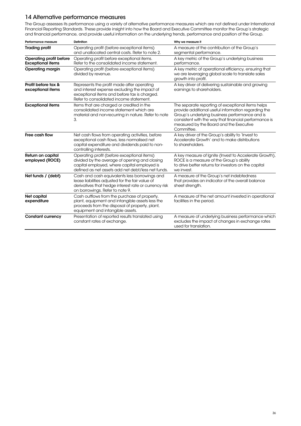### 14 Alternative performance measures

The Group assesses its performance using a variety of alternative performance measures which are not defined under International Financial Reporting Standards. These provide insight into how the Board and Executive Committee monitor the Group's strategic and financial performance, and provide useful information on the underlying trends, performance and position of the Group.

| Performance measure                                        | Definition                                                                                                                                                                                        | Why we measure it                                                                                                                                                                                                                                                            |
|------------------------------------------------------------|---------------------------------------------------------------------------------------------------------------------------------------------------------------------------------------------------|------------------------------------------------------------------------------------------------------------------------------------------------------------------------------------------------------------------------------------------------------------------------------|
| <b>Trading profit</b>                                      | Operating profit (before exceptional items)<br>and unallocated central costs. Refer to note 2.                                                                                                    | A measure of the contribution of the Group's<br>segmental performance.                                                                                                                                                                                                       |
| <b>Operating profit before</b><br><b>Exceptional items</b> | Operating profit before exceptional items.<br>Refer to the consolidated income statement.                                                                                                         | A key metric of the Group's underlying business<br>performance.                                                                                                                                                                                                              |
| <b>Operating margin</b>                                    | Operating profit (before exceptional items)<br>divided by revenue.                                                                                                                                | A key metric of operational efficiency, ensuring that<br>we are leveraging global scale to translate sales<br>growth into profit.                                                                                                                                            |
| Profit before tax &<br>exceptional items                   | Represents the profit made after operating<br>and interest expense excluding the impact of<br>exceptional items and before tax is charged.<br>Refer to consolidated income statement.             | A key driver of delivering sustainable and growing<br>earnings to shareholders.                                                                                                                                                                                              |
| <b>Exceptional items</b>                                   | Items that are charged or credited in the<br>consolidated income statement which are<br>material and non-recurring in nature. Refer to note<br>3.                                                 | The separate reporting of exceptional items helps<br>provide additional useful information regarding the<br>Group's underlying business performance and is<br>consistent with the way that financial performance is<br>measured by the Board and the Executive<br>Committee. |
| Free cash flow                                             | Net cash flows from operating activities, before<br>exceptional cash flows, less normalised net<br>capital expenditure and dividends paid to non-<br>controlling interests.                       | A key driver of the Group's ability to `Invest to<br>Accelerate Growth' and to make distributions<br>to shareholders.                                                                                                                                                        |
| Return on capital<br>employed (ROCE)                       | Operating profit (before exceptional items)<br>divided by the average of opening and closing<br>capital employed, where capital employed is<br>defined as net assets add net debt/less net funds. | A key measure of Ignite (Invest to Accelerate Growth),<br>ROCE is a measure of the Group's ability<br>to drive better returns for investors on the capital<br>we invest.                                                                                                     |
| Net funds / (debt)                                         | Cash and cash equivalents less borrowings and<br>lease liabilities adjusted for the fair value of<br>derivatives that hedge interest rate or currency risk<br>on borrowings. Refer to note 9.     | A measure of the Group's net indebtedness<br>that provides an indicator of the overall balance<br>sheet strength.                                                                                                                                                            |
| Net capital<br>expenditure                                 | Cash outflows from the purchase of property,<br>plant, equipment and intangible assets less the<br>proceeds from the disposal of property, plant,<br>equipment and intangible assets.             | A measure of the net amount invested in operational<br>facilities in the period.                                                                                                                                                                                             |
| <b>Constant currency</b>                                   | Presentation of reported results translated using<br>constant rates of exchange.                                                                                                                  | A measure of underlying business performance which<br>excludes the impact of changes in exchange rates<br>used for translation.                                                                                                                                              |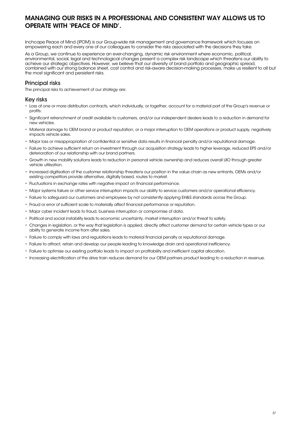# MANAGING OUR RISKS IN A PROFESSIONAL AND CONSISTENT WAY ALLOWS US TO OPERATE WITH 'PEACE OF MIND'.

Inchcape Peace of Mind (iPOM) is our Group-wide risk management and governance framework which focuses on empowering each and every one of our colleagues to consider the risks associated with the decisions they take.

As a Group, we continue to experience an ever-changing, dynamic risk environment where economic, political, environmental, social, legal and technological changes present a complex risk landscape which threatens our ability to achieve our strategic objectives. However, we believe that our diversity of brand portfolio and geographic spread, combined with our strong balance sheet, cost control and risk-aware decision-making processes, make us resilient to all but the most significant and persistent risks.

### Principal risks

The principal risks to achievement of our strategy are:

### Key risks

- Loss of one or more distribution contracts, which individually, or together, account for a material part of the Group's revenue or profits.
- Significant retrenchment of credit available to customers, and/or our independent dealers leads to a reduction in demand for new vehicles.
- Material damage to OEM brand or product reputation, or a major interruption to OEM operations or product supply, negatively impacts vehicle sales.
- Major loss or misappropriation of confidential or sensitive data results in financial penalty and/or reputational damage.
- Failure to achieve sufficient return on investment through our acquisition strategy leads to higher leverage, reduced EPS and/or deterioration of our relationship with our brand partners.
- Growth in new mobility solutions leads to reduction in personal vehicle ownership and reduces overall UIO through greater vehicle utilisation.
- Increased digitisation of the customer relationship threatens our position in the value chain as new entrants, OEMs and/or existing competitors provide alternative, digitally based, routes to market.
- Fluctuations in exchange rates with negative impact on financial performance.
- Major systems failure or other service interruption impacts our ability to service customers and/or operational efficiency.
- Failure to safeguard our customers and employees by not consistently applying EH&S standards across the Group.
- Fraud or error of sufficient scale to materially affect financial performance or reputation.
- Major cyber incident leads to fraud, business interruption or compromise of data.
- Political and social instability leads to economic uncertainty, market interruption and/or threat to safety.
- Changes in legislation, or the way that legislation is applied, directly affect customer demand for certain vehicle types or our ability to generate income from after sales.
- Failure to comply with laws and regulations leads to material financial penalty or reputational damage.
- Failure to attract, retain and develop our people leading to knowledge drain and operational inefficiency.
- Failure to optimise our existing portfolio leads to impact on profitability and inefficient capital allocation.
- Increasing electrification of the drive train reduces demand for our OEM partners product leading to a reduction in revenue.